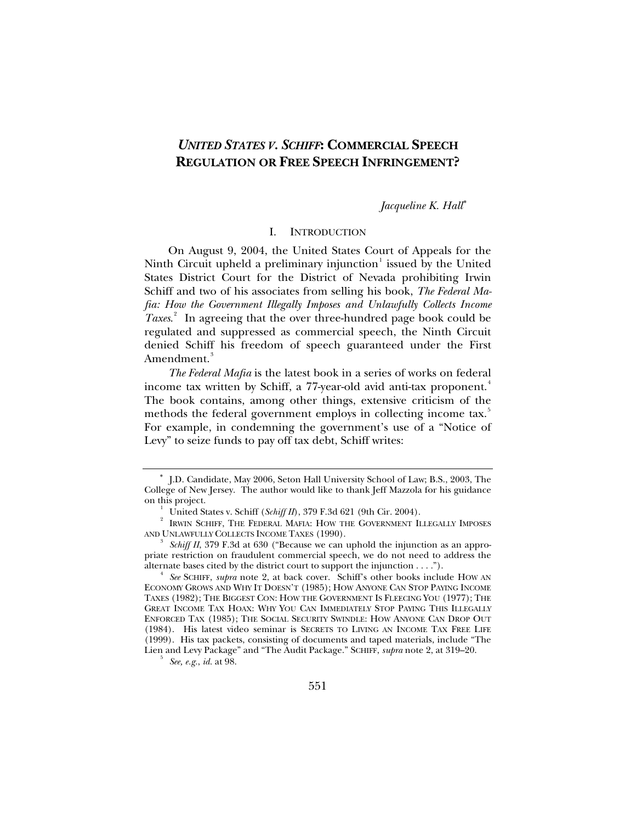# *UNITED STATES V. SCHIFF***: COMMERCIAL SPEECH REGULATION OR FREE SPEECH INFRINGEMENT?**

*Jacqueline K. Hall*[∗](#page-0-0)

# I. INTRODUCTION

On August 9, 2004, the United States Court of Appeals for the Ninth Circuit upheld a preliminary injunction $^1$  $^1$  issued by the United States District Court for the District of Nevada prohibiting Irwin Schiff and two of his associates from selling his book, *The Federal Mafia: How the Government Illegally Imposes and Unlawfully Collects Income Taxes*. [2](#page-0-2) In agreeing that the over three-hundred page book could be regulated and suppressed as commercial speech, the Ninth Circuit denied Schiff his freedom of speech guaranteed under the First Amendment.<sup>[3](#page-0-3)</sup>

*The Federal Mafia* is the latest book in a series of works on federal income tax written by Schiff, a 77-year-old avid anti-tax proponent.<sup>[4](#page-0-4)</sup> The book contains, among other things, extensive criticism of the methods the federal government employs in collecting income tax.<sup>[5](#page-0-5)</sup> For example, in condemning the government's use of a "Notice of Levy" to seize funds to pay off tax debt, Schiff writes:

<span id="page-0-5"></span> *See, e.g.*, *id.* at 98.

<span id="page-0-0"></span><sup>∗</sup> J.D. Candidate, May 2006, Seton Hall University School of Law; B.S., 2003, The College of New Jersey. The author would like to thank Jeff Mazzola for his guidance on this project. 1

United States v. Schiff (*Schiff II*), 379 F.3d 621 (9th Cir. 2004). 2

<span id="page-0-2"></span><span id="page-0-1"></span>IRWIN SCHIFF, THE FEDERAL MAFIA: HOW THE GOVERNMENT ILLEGALLY IMPOSES AND UNLAWFULLY COLLECTS INCOME TAXES (1990).

<span id="page-0-3"></span>*Schiff II*, 379 F.3d at 630 ("Because we can uphold the injunction as an appropriate restriction on fraudulent commercial speech, we do not need to address the alternate bases cited by the district court to support the injunction  $\dots$ .").

<span id="page-0-4"></span>*See* SCHIFF, *supra* note 2, at back cover. Schiff's other books include HOW AN ECONOMY GROWS AND WHY IT DOESN'T (1985); HOW ANYONE CAN STOP PAYING INCOME TAXES (1982); THE BIGGEST CON: HOW THE GOVERNMENT IS FLEECING YOU (1977); THE GREAT INCOME TAX HOAX: WHY YOU CAN IMMEDIATELY STOP PAYING THIS ILLEGALLY ENFORCED TAX (1985); THE SOCIAL SECURITY SWINDLE: HOW ANYONE CAN DROP OUT (1984). His latest video seminar is SECRETS TO LIVING AN INCOME TAX FREE LIFE (1999). His tax packets, consisting of documents and taped materials, include "The Lien and Levy Package" and "The Audit Package." SCHIFF, *supra* note 2, at 319–20. 5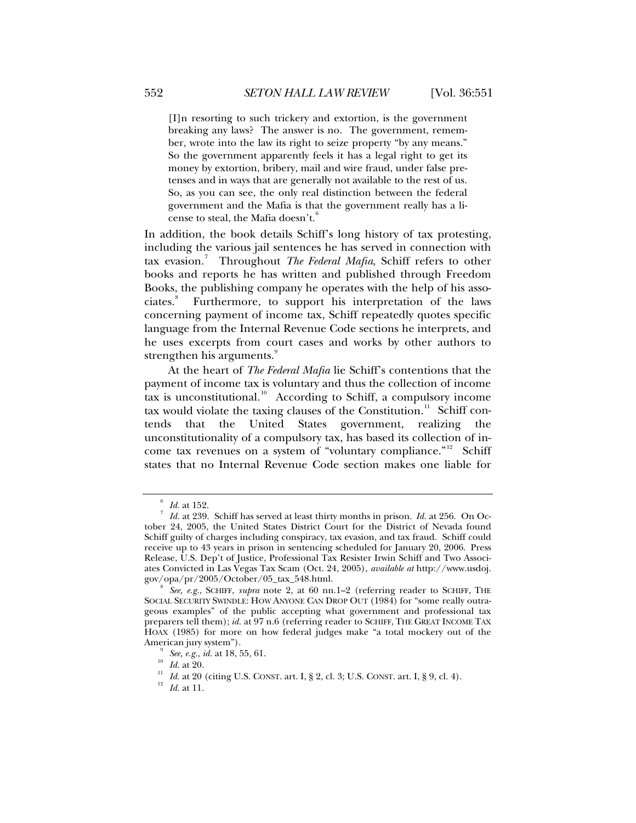[I]n resorting to such trickery and extortion, is the government breaking any laws? The answer is no. The government, remember, wrote into the law its right to seize property "by any means." So the government apparently feels it has a legal right to get its money by extortion, bribery, mail and wire fraud, under false pretenses and in ways that are generally not available to the rest of us. So, as you can see, the only real distinction between the federal government and the Mafia is that the government really has a license to steal, the Mafia doesn't.

In addition, the book details Schiff's long history of tax protesting, including the various jail sentences he has served in connection with tax evasion.<sup>[7](#page-1-1)</sup> Throughout *The Federal Mafia*, Schiff refers to other books and reports he has written and published through Freedom Books, the publishing company he operates with the help of his asso-ciates.<sup>[8](#page-1-2)</sup> Furthermore, to support his interpretation of the laws concerning payment of income tax, Schiff repeatedly quotes specific language from the Internal Revenue Code sections he interprets, and he uses excerpts from court cases and works by other authors to strengthen his arguments.<sup>[9](#page-1-3)</sup>

At the heart of *The Federal Mafia* lie Schiff's contentions that the payment of income tax is voluntary and thus the collection of income tax is unconstitutional.<sup>[10](#page-1-4)</sup> According to Schiff, a compulsory income tax would violate the taxing clauses of the Constitution.<sup>[11](#page-1-5)</sup> Schiff contends that the United States government, realizing the unconstitutionality of a compulsory tax, has based its collection of in-come tax revenues on a system of "voluntary compliance."<sup>[12](#page-1-6)</sup> Schiff states that no Internal Revenue Code section makes one liable for

 $\frac{6}{7}$  *Id.* at 152.

<span id="page-1-1"></span><span id="page-1-0"></span>*Id.* at 239. Schiff has served at least thirty months in prison. *Id.* at 256. On October 24, 2005, the United States District Court for the District of Nevada found Schiff guilty of charges including conspiracy, tax evasion, and tax fraud. Schiff could receive up to 43 years in prison in sentencing scheduled for January 20, 2006. Press Release, U.S. Dep't of Justice, Professional Tax Resister Irwin Schiff and Two Associates Convicted in Las Vegas Tax Scam (Oct. 24, 2005), *available at* http://www.usdoj. gov/opa/pr/2005/October/05\_tax\_548.html. 8

<span id="page-1-2"></span>*See, e.g.*, SCHIFF, *supra* note 2, at 60 nn.1–2 (referring reader to SCHIFF, THE SOCIAL SECURITY SWINDLE: HOW ANYONE CAN DROP OUT (1984) for "some really outrageous examples" of the public accepting what government and professional tax preparers tell them); *id.* at 97 n.6 (referring reader to SCHIFF, THE GREAT INCOME TAX HOAX (1985) for more on how federal judges make "a total mockery out of the American jury system").<br>  $\frac{9}{10}$  See, e.g., id. at 18, 55, 61.<br>  $\frac{10}{10}$  Id. at 20.

<span id="page-1-6"></span><span id="page-1-5"></span><span id="page-1-4"></span><span id="page-1-3"></span>*II Id.* at 20. (citing U.S. CONST. art. I, § 2, cl. 3; U.S. CONST. art. I, § 9, cl. 4). <sup>12</sup> *Id.* at 11.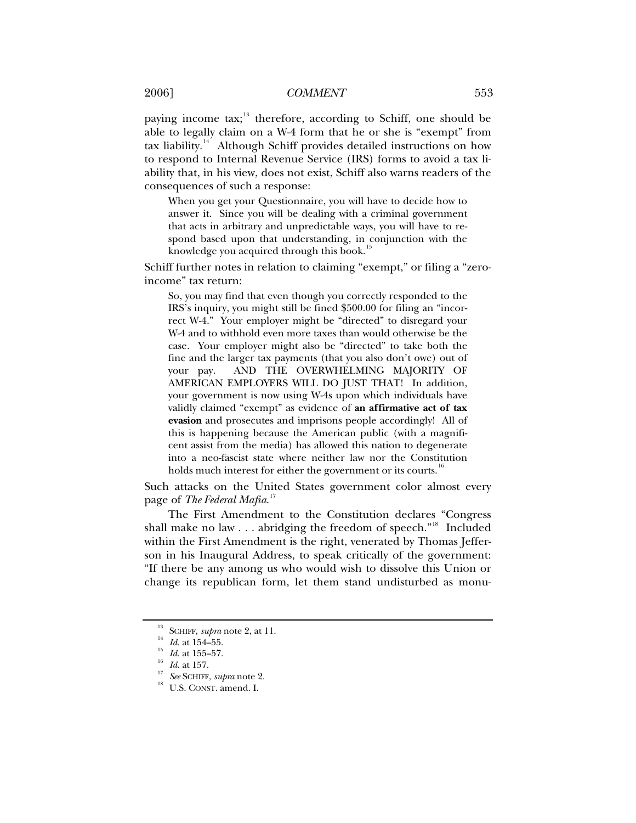paying income tax; $^{13}$  $^{13}$  $^{13}$  therefore, according to Schiff, one should be able to legally claim on a W-4 form that he or she is "exempt" from tax liability.<sup>[14](#page-2-1)</sup> Although Schiff provides detailed instructions on how to respond to Internal Revenue Service (IRS) forms to avoid a tax liability that, in his view, does not exist, Schiff also warns readers of the consequences of such a response:

When you get your Questionnaire, you will have to decide how to answer it. Since you will be dealing with a criminal government that acts in arbitrary and unpredictable ways, you will have to respond based upon that understanding, in conjunction with the knowledge you acquired through this book.<sup>[15](#page-2-2)</sup>

Schiff further notes in relation to claiming "exempt," or filing a "zeroincome" tax return:

So, you may find that even though you correctly responded to the IRS's inquiry, you might still be fined \$500.00 for filing an "incorrect W-4." Your employer might be "directed" to disregard your W-4 and to withhold even more taxes than would otherwise be the case. Your employer might also be "directed" to take both the fine and the larger tax payments (that you also don't owe) out of your pay. AND THE OVERWHELMING MAJORITY OF AMERICAN EMPLOYERS WILL DO JUST THAT! In addition, your government is now using W-4s upon which individuals have validly claimed "exempt" as evidence of **an affirmative act of tax evasion** and prosecutes and imprisons people accordingly! All of this is happening because the American public (with a magnificent assist from the media) has allowed this nation to degenerate into a neo-fascist state where neither law nor the Constitution holds much interest for either the government or its courts.<sup>[16](#page-2-3)</sup>

Such attacks on the United States government color almost every page of *The Federal Mafia*. [17](#page-2-4)

The First Amendment to the Constitution declares "Congress shall make no law . . . abridging the freedom of speech."<sup>[18](#page-2-5)</sup> Included within the First Amendment is the right, venerated by Thomas Jefferson in his Inaugural Address, to speak critically of the government: "If there be any among us who would wish to dissolve this Union or change its republican form, let them stand undisturbed as monu-

<span id="page-2-0"></span><sup>&</sup>lt;sup>13</sup> SCHIFF, *supra* note 2, at 11.<br><sup>14</sup> *Id.* at 154–55.<br><sup>15</sup> *Id.* at 155–57.<br><sup>17</sup> *See* SCHIFF, *supra* note 2.<br><sup>18</sup> U.S. CONST. amend. I.

<span id="page-2-3"></span><span id="page-2-2"></span><span id="page-2-1"></span>

<span id="page-2-5"></span><span id="page-2-4"></span>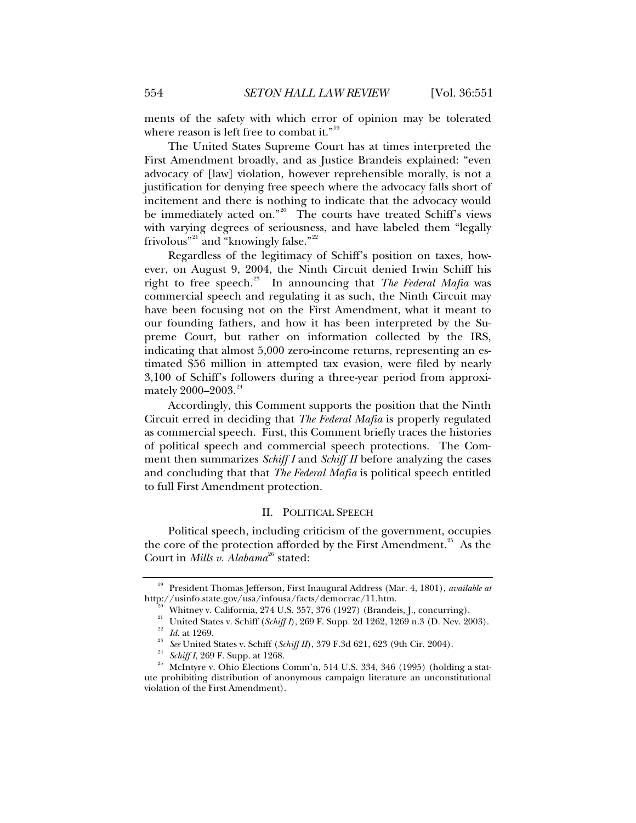ments of the safety with which error of opinion may be tolerated where reason is left free to combat it."<sup>[19](#page-3-0)</sup>

The United States Supreme Court has at times interpreted the First Amendment broadly, and as Justice Brandeis explained: "even advocacy of [law] violation, however reprehensible morally, is not a justification for denying free speech where the advocacy falls short of incitement and there is nothing to indicate that the advocacy would be immediately acted on."<sup>[20](#page-3-1)</sup> The courts have treated Schiff's views with varying degrees of seriousness, and have labeled them "legally frivolous"<sup>[21](#page-3-2)</sup> and "knowingly false."<sup>22</sup>

Regardless of the legitimacy of Schiff's position on taxes, however, on August 9, 2004, the Ninth Circuit denied Irwin Schiff his right to free speech.<sup>[23](#page-3-4)</sup> In announcing that *The Federal Mafia* was commercial speech and regulating it as such, the Ninth Circuit may have been focusing not on the First Amendment, what it meant to our founding fathers, and how it has been interpreted by the Supreme Court, but rather on information collected by the IRS, indicating that almost 5,000 zero-income returns, representing an estimated \$56 million in attempted tax evasion, were filed by nearly 3,100 of Schiff's followers during a three-year period from approximately  $2000-2003.^{24}$  $2000-2003.^{24}$  $2000-2003.^{24}$ 

Accordingly, this Comment supports the position that the Ninth Circuit erred in deciding that *The Federal Mafia* is properly regulated as commercial speech. First, this Comment briefly traces the histories of political speech and commercial speech protections. The Comment then summarizes *Schiff I* and *Schiff II* before analyzing the cases and concluding that that *The Federal Mafia* is political speech entitled to full First Amendment protection.

#### II. POLITICAL SPEECH

<span id="page-3-7"></span>Political speech, including criticism of the government, occupies the core of the protection afforded by the First Amendment.<sup>[25](#page-3-6)</sup> As the Court in *Mills v. Alabama*<sup>[26](#page-3-7)</sup> stated:

<span id="page-3-2"></span><span id="page-3-1"></span><span id="page-3-0"></span><sup>&</sup>lt;sup>19</sup> President Thomas Jefferson, First Inaugural Address (Mar. 4, 1801), *available at* http://usinfo.state.gov/usa/infousa/facts/democrac/11.htm.

Whitney v. California, 274 U.S. 357, 376 (1927) (Brandeis, J., concurring).

<sup>21&</sup>lt;br>
22<br>
23 *Id.* at 1269.<br>
<sup>23</sup> *See* United States v. Schiff (*Schiff II*), 269 F. Supp. 2d 1262, 1269 n.3 (D. Nev. 2003).<br>
<sup>23</sup> *See* United States v. Schiff (*Schiff II*), 379 F.3d 621, 623 (9th Cir. 2004).<br>
<sup>24</sup> *Schi* 

<span id="page-3-6"></span><span id="page-3-5"></span><span id="page-3-4"></span><span id="page-3-3"></span>ute prohibiting distribution of anonymous campaign literature an unconstitutional violation of the First Amendment).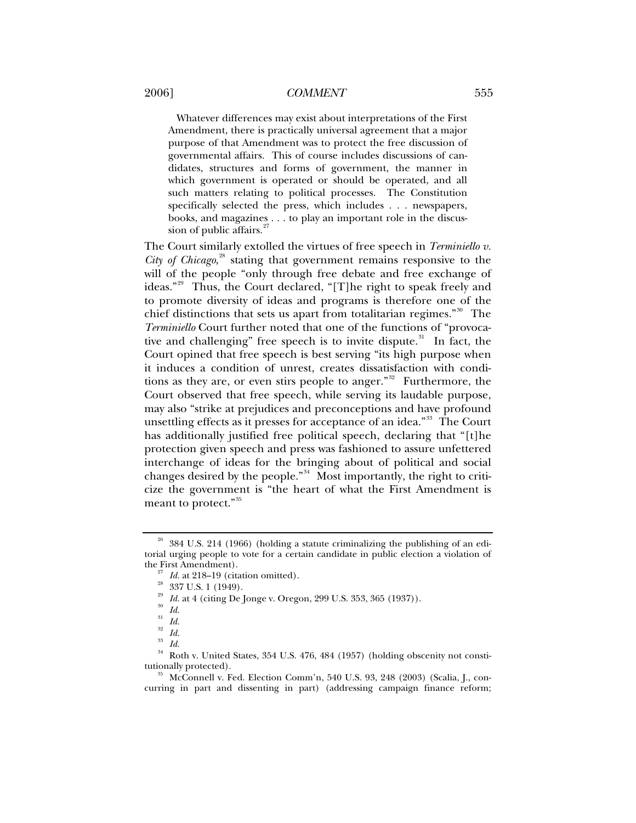Whatever differences may exist about interpretations of the First Amendment, there is practically universal agreement that a major purpose of that Amendment was to protect the free discussion of governmental affairs. This of course includes discussions of candidates, structures and forms of government, the manner in which government is operated or should be operated, and all such matters relating to political processes. The Constitution specifically selected the press, which includes . . . newspapers, books, and magazines . . . to play an important role in the discussion of public affairs.<sup>2</sup>

The Court similarly extolled the virtues of free speech in *Terminiello v. City of Chicago*, [28](#page-4-1) stating that government remains responsive to the will of the people "only through free debate and free exchange of ideas."[29](#page-4-2) Thus, the Court declared, "[T]he right to speak freely and to promote diversity of ideas and programs is therefore one of the chief distinctions that sets us apart from totalitarian regimes."<sup>[30](#page-4-3)</sup> The *Terminiello* Court further noted that one of the functions of "provoca-tive and challenging" free speech is to invite dispute.<sup>[31](#page-4-4)</sup> In fact, the Court opined that free speech is best serving "its high purpose when it induces a condition of unrest, creates dissatisfaction with condi-tions as they are, or even stirs people to anger."<sup>[32](#page-4-5)</sup> Furthermore, the Court observed that free speech, while serving its laudable purpose, may also "strike at prejudices and preconceptions and have profound unsettling effects as it presses for acceptance of an idea."<sup>[33](#page-4-6)</sup> The Court has additionally justified free political speech, declaring that "[t]he protection given speech and press was fashioned to assure unfettered interchange of ideas for the bringing about of political and social changes desired by the people."<sup>[34](#page-4-7)</sup> Most importantly, the right to criticize the government is "the heart of what the First Amendment is meant to protect."<sup>[35](#page-4-8)</sup>

<sup>29</sup> *Id.* at 4 (citing De Jonge v. Oregon, 299 U.S. 353, 365 (1937)).<br><sup>30</sup> *Id.* 

<span id="page-4-2"></span><span id="page-4-1"></span><span id="page-4-0"></span> $26$  384 U.S. 214 (1966) (holding a statute criminalizing the publishing of an editorial urging people to vote for a certain candidate in public election a violation of

<sup>&</sup>lt;sup>27</sup> *Id.* at 218–19 (citation omitted).<br><sup>28</sup> 337 U.S. 1 (1949).

 $rac{31}{32}$  *Id.* 

 $rac{32}{33}$  *Id.* 

 $rac{33}{34}$  *Id.* 

<span id="page-4-7"></span><span id="page-4-6"></span><span id="page-4-5"></span><span id="page-4-4"></span><span id="page-4-3"></span><sup>34</sup> Roth v. United States, 354 U.S. 476, 484 (1957) (holding obscenity not constitutionally protected). 35 McConnell v. Fed. Election Comm'n, 540 U.S. 93, 248 (2003) (Scalia, J., con-

<span id="page-4-8"></span>curring in part and dissenting in part) (addressing campaign finance reform;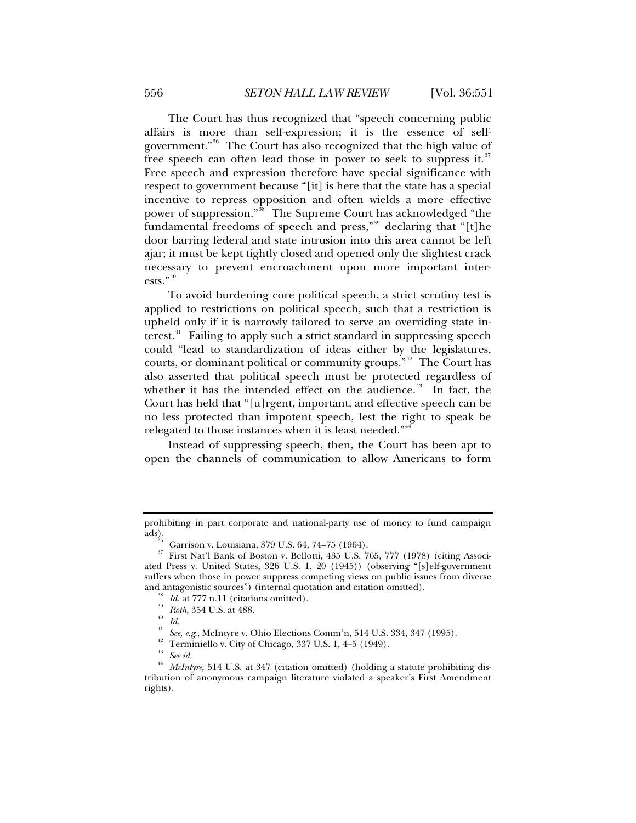The Court has thus recognized that "speech concerning public affairs is more than self-expression; it is the essence of selfgovernment."[36](#page-5-0) The Court has also recognized that the high value of free speech can often lead those in power to seek to suppress it.<sup>[37](#page-5-1)</sup> Free speech and expression therefore have special significance with respect to government because "[it] is here that the state has a special incentive to repress opposition and often wields a more effective power of suppression."[38](#page-5-2) The Supreme Court has acknowledged "the fundamental freedoms of speech and press,"<sup>[39](#page-5-3)</sup> declaring that "[t]he door barring federal and state intrusion into this area cannot be left ajar; it must be kept tightly closed and opened only the slightest crack necessary to prevent encroachment upon more important inter-ests."<sup>[40](#page-5-4)</sup>

To avoid burdening core political speech, a strict scrutiny test is applied to restrictions on political speech, such that a restriction is upheld only if it is narrowly tailored to serve an overriding state in-terest.<sup>[41](#page-5-5)</sup> Failing to apply such a strict standard in suppressing speech could "lead to standardization of ideas either by the legislatures, courts, or dominant political or community groups."<sup>[42](#page-5-6)</sup> The Court has also asserted that political speech must be protected regardless of whether it has the intended effect on the audience. $43$  In fact, the Court has held that "[u]rgent, important, and effective speech can be no less protected than impotent speech, lest the right to speak be relegated to those instances when it is least needed."<sup>[44](#page-5-8)</sup>

Instead of suppressing speech, then, the Court has been apt to open the channels of communication to allow Americans to form

<span id="page-5-1"></span><span id="page-5-0"></span>prohibiting in part corporate and national-party use of money to fund campaign

<sup>&</sup>lt;sup>36</sup> Garrison v. Louisiana, 379 U.S. 64, 74–75 (1964).<br><sup>37</sup> First Nat'l Bank of Boston v. Bollotti, 435 U.S. 7

<span id="page-5-4"></span><span id="page-5-3"></span><span id="page-5-2"></span><sup>37</sup> First Nat'l Bank of Boston v. Bellotti, 435 U.S. 765, 777 (1978) (citing Associated Press v. United States, 326 U.S. 1, 20 (1945)) (observing "[s]elf-government suffers when those in power suppress competing views on public issues from diverse and antagonistic sources") (internal quotation and citation omitted).<br><sup>38</sup> *Id.* at 777 n.11 (citations omitted).<br>*Roth*, 354 U.S. at 488.

<sup>&</sup>lt;sup>41</sup> *See, e.g.*, McIntyre v. Ohio Elections Comm'n, 514 U.S. 334, 347 (1995).<br><sup>42</sup> Terminiello v. City of Chicago, 337 U.S. 1, 4–5 (1949).

 $\frac{43}{44}$  *See id.* 

<span id="page-5-8"></span><span id="page-5-7"></span><span id="page-5-6"></span><span id="page-5-5"></span>*McIntyre*, 514 U.S. at 347 (citation omitted) (holding a statute prohibiting distribution of anonymous campaign literature violated a speaker's First Amendment rights).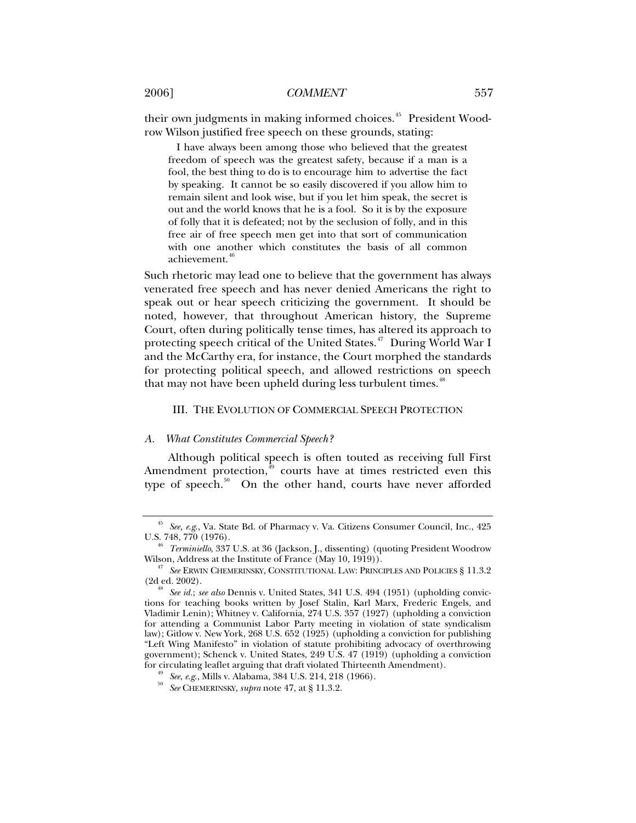their own judgments in making informed choices.<sup>[45](#page-6-0)</sup> President Woodrow Wilson justified free speech on these grounds, stating:

 I have always been among those who believed that the greatest freedom of speech was the greatest safety, because if a man is a fool, the best thing to do is to encourage him to advertise the fact by speaking. It cannot be so easily discovered if you allow him to remain silent and look wise, but if you let him speak, the secret is out and the world knows that he is a fool. So it is by the exposure of folly that it is defeated; not by the seclusion of folly, and in this free air of free speech men get into that sort of communication with one another which constitutes the basis of all common achievement.<sup>[46](#page-6-1)</sup>

Such rhetoric may lead one to believe that the government has always venerated free speech and has never denied Americans the right to speak out or hear speech criticizing the government. It should be noted, however, that throughout American history, the Supreme Court, often during politically tense times, has altered its approach to protecting speech critical of the United States.<sup>[47](#page-6-2)</sup> During World War I and the McCarthy era, for instance, the Court morphed the standards for protecting political speech, and allowed restrictions on speech that may not have been upheld during less turbulent times.<sup>[48](#page-6-3)</sup>

#### III. THE EVOLUTION OF COMMERCIAL SPEECH PROTECTION

#### *A. What Constitutes Commercial Speech?*

Although political speech is often touted as receiving full First Amendment protection, $49$  courts have at times restricted even this type of speech. $50$  On the other hand, courts have never afforded

<span id="page-6-0"></span><sup>&</sup>lt;sup>45</sup> See, e.g., Va. State Bd. of Pharmacy v. Va. Citizens Consumer Council, Inc., 425 U.S. 748, 770 (1976).

<span id="page-6-1"></span><sup>&</sup>lt;sup>46</sup> *Terminiello*, 337 U.S. at 36 (Jackson, J., dissenting) (quoting President Woodrow Wilson, Address at the Institute of France (May 10, 1919)).

<span id="page-6-2"></span><sup>&</sup>lt;sup>47</sup> See ERWIN CHEMERINSKY, CONSTITUTIONAL LAW: PRINCIPLES AND POLICIES § 11.3.2<sup></sup> (2d ed. 2002).

<span id="page-6-3"></span><sup>(2</sup>d ed. 2002). 48 *See id.*; *see also* Dennis v. United States, 341 U.S. 494 (1951) (upholding convictions for teaching books written by Josef Stalin, Karl Marx, Frederic Engels, and Vladimir Lenin); Whitney v. California, 274 U.S. 357 (1927) (upholding a conviction for attending a Communist Labor Party meeting in violation of state syndicalism law); Gitlow v. New York, 268 U.S. 652 (1925) (upholding a conviction for publishing "Left Wing Manifesto" in violation of statute prohibiting advocacy of overthrowing government); Schenck v. United States, 249 U.S. 47 (1919) (upholding a conviction

<span id="page-6-5"></span><span id="page-6-4"></span>for circulating leaflet arguing that draft violated Thirteenth Amendment). 49 *See*, *e*.*g*., Mills v. Alabama, 384 U.S. 214, 218 (1966). 50 *See* CHEMERINSKY, *supra* note 47, at § 11.3.2.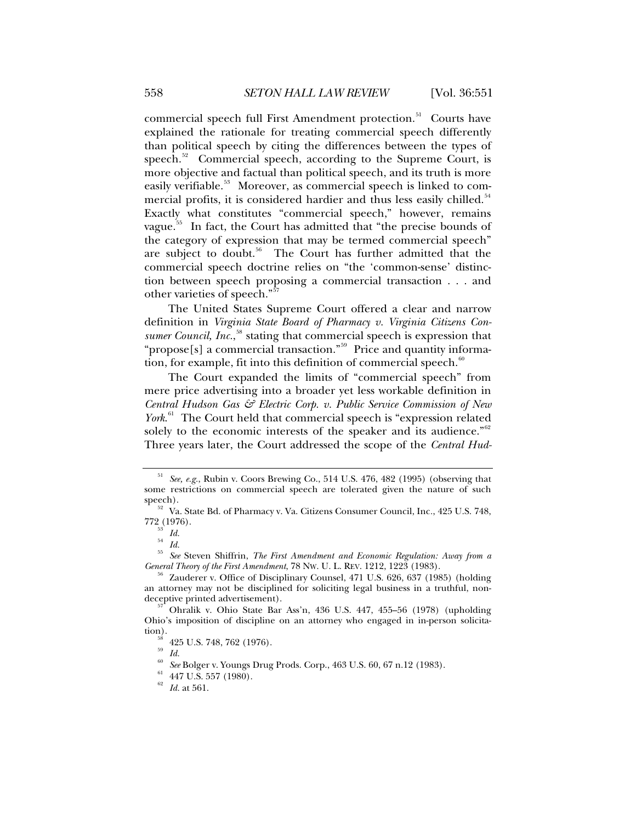commercial speech full First Amendment protection.<sup>[51](#page-7-0)</sup> Courts have explained the rationale for treating commercial speech differently than political speech by citing the differences between the types of speech.<sup>[52](#page-7-1)</sup> Commercial speech, according to the Supreme Court, is more objective and factual than political speech, and its truth is more easily verifiable.<sup>[53](#page-7-2)</sup> Moreover, as commercial speech is linked to com-mercial profits, it is considered hardier and thus less easily chilled.<sup>[54](#page-7-3)</sup> Exactly what constitutes "commercial speech," however, remains vague.<sup>[55](#page-7-4)</sup> In fact, the Court has admitted that "the precise bounds of the category of expression that may be termed commercial speech" are subject to doubt.<sup>[56](#page-7-5)</sup> The Court has further admitted that the commercial speech doctrine relies on "the 'common-sense' distinction between speech proposing a commercial transaction . . . and other varieties of speech."[57](#page-7-6)

The United States Supreme Court offered a clear and narrow definition in *Virginia State Board of Pharmacy v. Virginia Citizens Con-*sumer Council, Inc.,<sup>[58](#page-7-7)</sup> stating that commercial speech is expression that "propose[s] a commercial transaction."<sup>[59](#page-7-8)</sup> Price and quantity information, for example, fit into this definition of commercial speech. $60$ 

The Court expanded the limits of "commercial speech" from mere price advertising into a broader yet less workable definition in *Central Hudson Gas & Electric Corp. v. Public Service Commission of New*  York.<sup>[61](#page-7-10)</sup> The Court held that commercial speech is "expression related solely to the economic interests of the speaker and its audience." $62$ Three years later, the Court addressed the scope of the *Central Hud-*

<span id="page-7-4"></span><span id="page-7-3"></span><span id="page-7-2"></span><sup>55</sup> *See* Steven Shiffrin, *The First Amendment and Economic Regulation: Away from a General Theory of the First Amendment*, 78 Nw. U. L. REV. 1212, 1223 (1983).<br><sup>56</sup> Zauderer v. Office of Disciplinary Counsel, 471 U.S. 626, 637 (1985) (holding

<span id="page-7-0"></span><sup>51</sup> *See, e.g.*, Rubin v. Coors Brewing Co., 514 U.S. 476, 482 (1995) (observing that some restrictions on commercial speech are tolerated given the nature of such speech).

<span id="page-7-1"></span><sup>&</sup>lt;sup>52</sup> Va. State Bd. of Pharmacy v. Va. Citizens Consumer Council, Inc., 425 U.S. 748, 772 (1976). 772 (1976). <sup>53</sup> *Id.*

<sup>54</sup> *Id.*

<span id="page-7-5"></span>an attorney may not be disciplined for soliciting legal business in a truthful, non-

<span id="page-7-9"></span><span id="page-7-8"></span><span id="page-7-7"></span><span id="page-7-6"></span>Ohralik v. Ohio State Bar Ass'n, 436 U.S. 447, 455–56 (1978) (upholding Ohio's imposition of discipline on an attorney who engaged in in-person solicitation).<br> $^{58}$  425 U.S. 748, 762 (1976).

<sup>59</sup> *Id.*

<span id="page-7-10"></span><sup>60</sup> *See* Bolger v. Youngs Drug Prods. Corp., 463 U.S. 60, 67 n.12 (1983). 61 447 U.S. 557 (1980).

<span id="page-7-11"></span> $^{62}$   $\,$   $Id.$  at 561.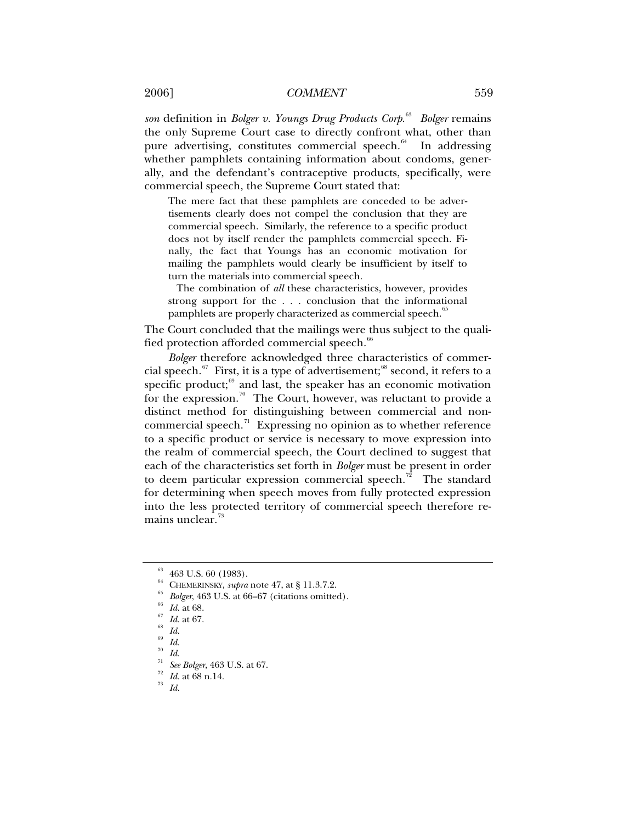*son* definition in *Bolger v. Youngs Drug Products Corp*. [63](#page-8-0) *Bolger* remains the only Supreme Court case to directly confront what, other than pure advertising, constitutes commercial speech.<sup>[64](#page-8-1)</sup> In addressing whether pamphlets containing information about condoms, generally, and the defendant's contraceptive products, specifically, were commercial speech, the Supreme Court stated that:

The mere fact that these pamphlets are conceded to be advertisements clearly does not compel the conclusion that they are commercial speech. Similarly, the reference to a specific product does not by itself render the pamphlets commercial speech. Finally, the fact that Youngs has an economic motivation for mailing the pamphlets would clearly be insufficient by itself to turn the materials into commercial speech.

 The combination of *all* these characteristics, however, provides strong support for the . . . conclusion that the informational pamphlets are properly characterized as commercial speech.<sup>[65](#page-8-2)</sup>

The Court concluded that the mailings were thus subject to the quali-fied protection afforded commercial speech.<sup><sup>[66](#page-8-3)</sup></sup>

*Bolger* therefore acknowledged three characteristics of commer-cial speech.<sup>[67](#page-8-4)</sup> First, it is a type of advertisement;<sup>[68](#page-8-5)</sup> second, it refers to a specific product; $69$  and last, the speaker has an economic motivation for the expression.<sup>[70](#page-8-7)</sup> The Court, however, was reluctant to provide a distinct method for distinguishing between commercial and noncommercial speech. $\frac{7}{1}$  Expressing no opinion as to whether reference to a specific product or service is necessary to move expression into the realm of commercial speech, the Court declined to suggest that each of the characteristics set forth in *Bolger* must be present in order to deem particular expression commercial speech.<sup>[72](#page-8-9)</sup> The standard for determining when speech moves from fully protected expression into the less protected territory of commercial speech therefore re-mains unclear.<sup>[73](#page-8-10)</sup>

<span id="page-8-0"></span><sup>63 463</sup> U.S. 60 (1983).

<span id="page-8-3"></span><span id="page-8-2"></span><span id="page-8-1"></span><sup>&</sup>lt;sup>64</sup> CHEMERINSKY, *supra* note 47, at § 11.3.7.2.<br>
<sup>65</sup> Bolger, 463 U.S. at 66–67 (citations omitted).<br>
<sup>66</sup> *Id.* at 68.<br>
<sup>67</sup> *Id.* at 67.<br>
<sup>68</sup> *Id.* 

<span id="page-8-4"></span>

<span id="page-8-7"></span><span id="page-8-6"></span><span id="page-8-5"></span> $\frac{69}{70}$  *Id.* 

<sup>70</sup> *Id.*

<span id="page-8-8"></span><sup>71</sup> *See Bolger*, 463 U.S. at 67. 72 *Id.* at 68 n.14. 73 *Id.*

<span id="page-8-10"></span><span id="page-8-9"></span>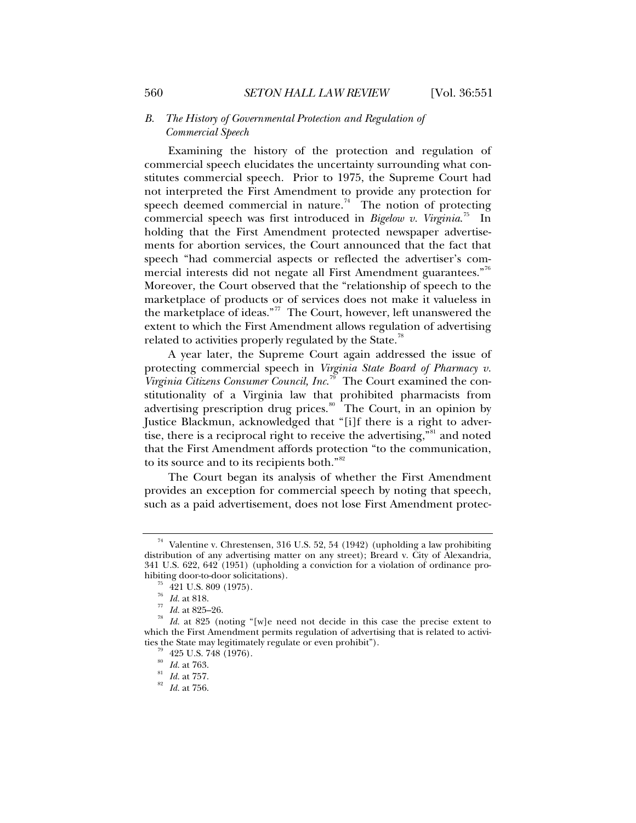# *B. The History of Governmental Protection and Regulation of Commercial Speech*

Examining the history of the protection and regulation of commercial speech elucidates the uncertainty surrounding what constitutes commercial speech. Prior to 1975, the Supreme Court had not interpreted the First Amendment to provide any protection for speech deemed commercial in nature.<sup>[74](#page-9-0)</sup> The notion of protecting commercial speech was first introduced in *Bigelow v. Virginia*. [75](#page-9-1) In holding that the First Amendment protected newspaper advertisements for abortion services, the Court announced that the fact that speech "had commercial aspects or reflected the advertiser's com-mercial interests did not negate all First Amendment guarantees."<sup>[76](#page-9-2)</sup> Moreover, the Court observed that the "relationship of speech to the marketplace of products or of services does not make it valueless in the marketplace of ideas."[77](#page-9-3) The Court, however, left unanswered the extent to which the First Amendment allows regulation of advertising related to activities properly regulated by the State.<sup>[78](#page-9-4)</sup>

A year later, the Supreme Court again addressed the issue of protecting commercial speech in *Virginia State Board of Pharmacy v. Virginia Citizens Consumer Council, Inc*. [79](#page-9-5) The Court examined the constitutionality of a Virginia law that prohibited pharmacists from advertising prescription drug prices.<sup>[80](#page-9-6)</sup> The Court, in an opinion by Justice Blackmun, acknowledged that "[i]f there is a right to adver-tise, there is a reciprocal right to receive the advertising,<sup>"[81](#page-9-7)</sup> and noted that the First Amendment affords protection "to the communication, to its source and to its recipients both."[82](#page-9-8)

The Court began its analysis of whether the First Amendment provides an exception for commercial speech by noting that speech, such as a paid advertisement, does not lose First Amendment protec-

<span id="page-9-0"></span><sup>74</sup> Valentine v. Chrestensen, 316 U.S. 52, 54 (1942) (upholding a law prohibiting distribution of any advertising matter on any street); Breard v. City of Alexandria, 341 U.S. 622, 642 (1951) (upholding a conviction for a violation of ordinance prohibiting door-to-door solicitations).<br>  $^{75}_{76}$  421 U.S. 809 (1975).<br>  $^{76}_{76}$  Id. at 818.

<span id="page-9-6"></span><span id="page-9-5"></span><span id="page-9-4"></span><span id="page-9-3"></span><span id="page-9-2"></span><span id="page-9-1"></span><sup>76</sup> *Id.* at 818. 77 *Id.* at 825–26. 78 *Id.* at 825 (noting "[w]e need not decide in this case the precise extent to which the First Amendment permits regulation of advertising that is related to activities the State may legitimately regulate or even prohibit").<br> $^{79}_{80}$  425 U.S. 748 (1976).<br> $^{80}_{80}$  Id. at 763.

<span id="page-9-8"></span><span id="page-9-7"></span><sup>80</sup> *Id.* at 763. 81 *Id.* at 757. 82 *Id.* at 756.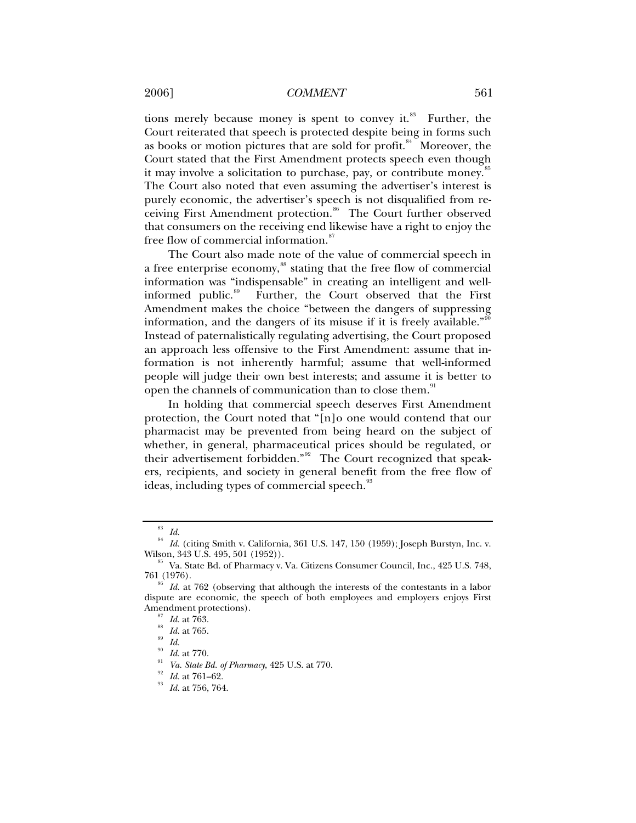## 2006] *COMMENT* 561

tions merely because money is spent to convey it. $88$  Further, the Court reiterated that speech is protected despite being in forms such as books or motion pictures that are sold for profit.<sup>[84](#page-10-1)</sup> Moreover, the Court stated that the First Amendment protects speech even though it may involve a solicitation to purchase, pay, or contribute money.<sup>[85](#page-10-2)</sup> The Court also noted that even assuming the advertiser's interest is purely economic, the advertiser's speech is not disqualified from re-ceiving First Amendment protection.<sup>[86](#page-10-3)</sup> The Court further observed that consumers on the receiving end likewise have a right to enjoy the free flow of commercial information.<sup>[87](#page-10-4)</sup>

The Court also made note of the value of commercial speech in a free enterprise economy,<sup>[88](#page-10-5)</sup> stating that the free flow of commercial information was "indispensable" in creating an intelligent and well-informed public.<sup>[89](#page-10-6)</sup> Further, the Court observed that the First Amendment makes the choice "between the dangers of suppressing information, and the dangers of its misuse if it is freely available."<sup>[90](#page-10-7)</sup> Instead of paternalistically regulating advertising, the Court proposed an approach less offensive to the First Amendment: assume that information is not inherently harmful; assume that well-informed people will judge their own best interests; and assume it is better to open the channels of communication than to close them.<sup>[91](#page-10-8)</sup>

In holding that commercial speech deserves First Amendment protection, the Court noted that "[n]o one would contend that our pharmacist may be prevented from being heard on the subject of whether, in general, pharmaceutical prices should be regulated, or their advertisement forbidden."[92](#page-10-9) The Court recognized that speakers, recipients, and society in general benefit from the free flow of ideas, including types of commercial speech.<sup>[93](#page-10-10)</sup>

<sup>83</sup> *Id.*

<span id="page-10-1"></span><span id="page-10-0"></span> $^{84}$  *Id.* (citing Smith v. California, 361 U.S. 147, 150 (1959); Joseph Burstyn, Inc. v. Wilson, 343 U.S. 495, 501 (1952)).

<span id="page-10-2"></span> $85$  Va. State Bd. of Pharmacy v. Va. Citizens Consumer Council, Inc., 425 U.S. 748, 761 (1976). 86 *Id.* at 762 (observing that although the interests of the contestants in a labor

<span id="page-10-6"></span><span id="page-10-5"></span><span id="page-10-4"></span><span id="page-10-3"></span>dispute are economic, the speech of both employees and employers enjoys First Amendment protections).<br><sup>87</sup> *Id.* at 763.<br><sup>88</sup> *Id.* at 765.

<span id="page-10-7"></span>

<span id="page-10-9"></span><span id="page-10-8"></span>*Id.* at 770.<br>*Va. State Bd. of Pharmacy*, 425 U.S. at 770.<br>*Id.* at 761–62.<br>*Id.* at 756, 764.

<span id="page-10-10"></span>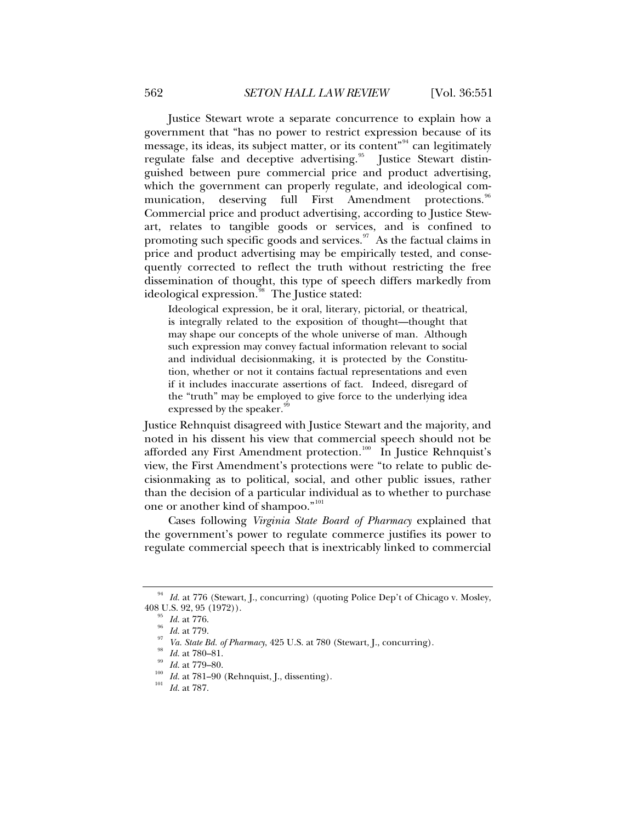Justice Stewart wrote a separate concurrence to explain how a government that "has no power to restrict expression because of its message, its ideas, its subject matter, or its content"<sup>[94](#page-11-0)</sup> can legitimately regulate false and deceptive advertising.<sup>[95](#page-11-1)</sup> Justice Stewart distinguished between pure commercial price and product advertising, which the government can properly regulate, and ideological com-munication, deserving full First Amendment protections.<sup>[96](#page-11-2)</sup> Commercial price and product advertising, according to Justice Stewart, relates to tangible goods or services, and is confined to promoting such specific goods and services. $\frac{97}{10}$  $\frac{97}{10}$  $\frac{97}{10}$  As the factual claims in price and product advertising may be empirically tested, and consequently corrected to reflect the truth without restricting the free dissemination of thought, this type of speech differs markedly from ideological expression.<sup>[98](#page-11-4)</sup> The Justice stated:

Ideological expression, be it oral, literary, pictorial, or theatrical, is integrally related to the exposition of thought—thought that may shape our concepts of the whole universe of man. Although such expression may convey factual information relevant to social and individual decisionmaking, it is protected by the Constitution, whether or not it contains factual representations and even if it includes inaccurate assertions of fact. Indeed, disregard of the "truth" may be employed to give force to the underlying idea expressed by the speaker.<sup>[99](#page-11-5)</sup>

Justice Rehnquist disagreed with Justice Stewart and the majority, and noted in his dissent his view that commercial speech should not be afforded any First Amendment protection.<sup>[100](#page-11-6)</sup> In Justice Rehnquist's view, the First Amendment's protections were "to relate to public decisionmaking as to political, social, and other public issues, rather than the decision of a particular individual as to whether to purchase one or another kind of shampoo."<sup>[101](#page-11-7)</sup>

Cases following *Virginia State Board of Pharmacy* explained that the government's power to regulate commerce justifies its power to regulate commercial speech that is inextricably linked to commercial

<span id="page-11-3"></span><span id="page-11-2"></span><span id="page-11-1"></span><span id="page-11-0"></span> $^{94}$  *Id.* at 776 (Stewart, J., concurring) (quoting Police Dep't of Chicago v. Mosley, 408 U.S. 92, 95 (1972)).

<sup>&</sup>lt;sup>95</sup> *Id.* at 776.<br>
<sup>96</sup> *Id.* at 779.<br>
<sup>97</sup> *Va. State Bd. of Pharmacy*, 425 U.S. at 780 (Stewart, J., concurring).<br>
<sup>98</sup> *Id.* at 780–81.<br>
<sup>99</sup> *Id.* at 779–80.<br>
<sup>100</sup> *Id.* at 781–90 (Rehnquist, J., dissenting).<br>
<sup>101</sup>

<span id="page-11-5"></span><span id="page-11-4"></span>

<span id="page-11-7"></span><span id="page-11-6"></span>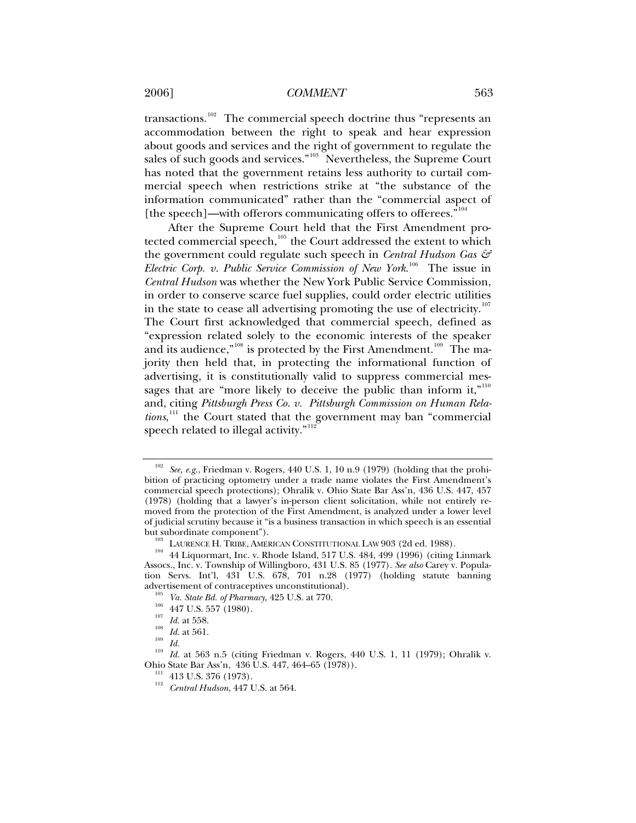# 2006] *COMMENT* 563

transactions.<sup>[102](#page-12-0)</sup> The commercial speech doctrine thus "represents an accommodation between the right to speak and hear expression about goods and services and the right of government to regulate the sales of such goods and services."<sup>[103](#page-12-1)</sup> Nevertheless, the Supreme Court has noted that the government retains less authority to curtail commercial speech when restrictions strike at "the substance of the information communicated" rather than the "commercial aspect of [the speech]—with offerors communicating offers to offerees."<sup>[104](#page-12-2)</sup>

After the Supreme Court held that the First Amendment pro-tected commercial speech,<sup>[105](#page-12-3)</sup> the Court addressed the extent to which the government could regulate such speech in *Central Hudson Gas & Electric Corp. v. Public Service Commission of New York*. [106](#page-12-4) The issue in *Central Hudson* was whether the New York Public Service Commission, in order to conserve scarce fuel supplies, could order electric utilities in the state to cease all advertising promoting the use of electricity.<sup>[107](#page-12-5)</sup> The Court first acknowledged that commercial speech, defined as "expression related solely to the economic interests of the speaker and its audience," $108$  is protected by the First Amendment.<sup>[109](#page-12-7)</sup> The majority then held that, in protecting the informational function of advertising, it is constitutionally valid to suppress commercial mes-sages that are "more likely to deceive the public than inform it,"<sup>[110](#page-12-8)</sup> and, citing *Pittsburgh Press Co. v. Pittsburgh Commission on Human Rela-*tions,<sup>[111](#page-12-9)</sup> the Court stated that the government may ban "commercial speech related to illegal activity."<sup>11</sup>

- 
- 
- <span id="page-12-7"></span>
- 

<span id="page-12-0"></span>See, e.g., Friedman v. Rogers, 440 U.S. 1, 10 n.9 (1979) (holding that the prohibition of practicing optometry under a trade name violates the First Amendment's commercial speech protections); Ohralik v. Ohio State Bar Ass'n, 436 U.S. 447, 457 (1978) (holding that a lawyer's in-person client solicitation, while not entirely removed from the protection of the First Amendment, is analyzed under a lower level of judicial scrutiny because it "is a business transaction in which speech is an essential

<span id="page-12-2"></span><span id="page-12-1"></span>but subordinate component").<br><sup>103</sup> LAURENCE H. TRIBE, AMERICAN CONSTITUTIONAL LAW 903 (2d ed. 1988).<br><sup>104</sup> 44 Liquormart, Inc. v. Rhode Island, 517 U.S. 484, 499 (1996) (citing Linmark Assocs., Inc. v. Township of Willingboro, 431 U.S. 85 (1977). *See also* Carey v. Population Servs. Int'l, 431 U.S. 678, 701 n.28 (1977) (holding statute banning

<span id="page-12-6"></span><span id="page-12-5"></span><span id="page-12-4"></span><span id="page-12-3"></span>advertisement of contraceptives unconstitutional).<br>
<sup>105</sup> *Va. State Bd. of Pharmacy*, 425 U.S. at 770.<br>
<sup>106</sup> 447 U.S. 557 (1980).<br> *Id.* at 558.<br> *Id.* at 561.<br>
<sup>109</sup> *Id.* at 563 n.5 (citing Friedman v. Rogers, 440 U.S

<span id="page-12-10"></span><span id="page-12-9"></span><span id="page-12-8"></span><sup>&</sup>lt;sup>111</sup> 413 U.S. 376 (1973).<br><sup>112</sup> *Central Hudson*, 447 U.S. at 564.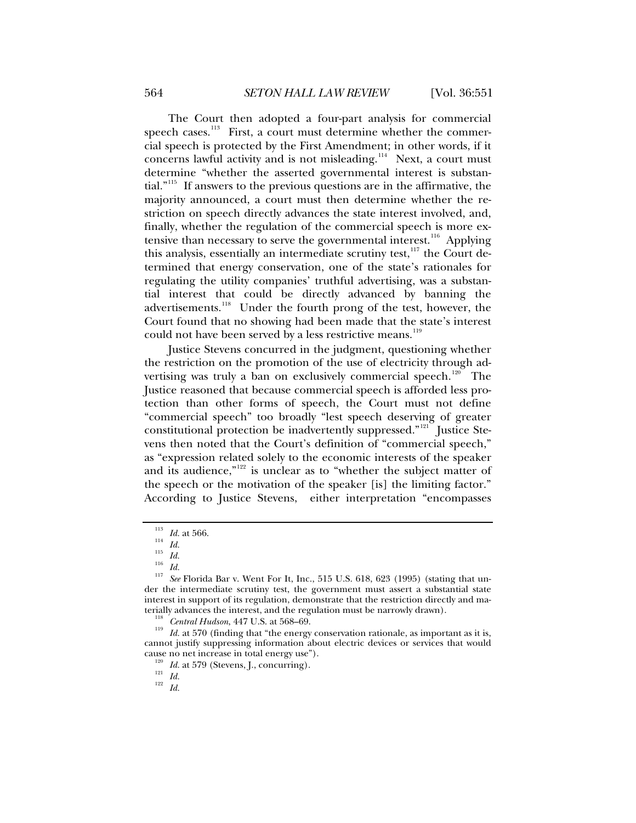The Court then adopted a four-part analysis for commercial speech cases.<sup>[113](#page-13-0)</sup> First, a court must determine whether the commercial speech is protected by the First Amendment; in other words, if it concerns lawful activity and is not misleading.<sup>[114](#page-13-1)</sup> Next, a court must determine "whether the asserted governmental interest is substantial."[115](#page-13-2) If answers to the previous questions are in the affirmative, the majority announced, a court must then determine whether the restriction on speech directly advances the state interest involved, and, finally, whether the regulation of the commercial speech is more ex-tensive than necessary to serve the governmental interest.<sup>[116](#page-13-3)</sup> Applying this analysis, essentially an intermediate scrutiny test,<sup>[117](#page-13-4)</sup> the Court determined that energy conservation, one of the state's rationales for regulating the utility companies' truthful advertising, was a substantial interest that could be directly advanced by banning the advertisements.<sup>[118](#page-13-5)</sup> Under the fourth prong of the test, however, the Court found that no showing had been made that the state's interest could not have been served by a less restrictive means.<sup>[119](#page-13-6)</sup>

Justice Stevens concurred in the judgment, questioning whether the restriction on the promotion of the use of electricity through ad-vertising was truly a ban on exclusively commercial speech.<sup>[120](#page-13-7)</sup> The Justice reasoned that because commercial speech is afforded less protection than other forms of speech, the Court must not define "commercial speech" too broadly "lest speech deserving of greater constitutional protection be inadvertently suppressed."<sup>[121](#page-13-8)</sup> Justice Stevens then noted that the Court's definition of "commercial speech," as "expression related solely to the economic interests of the speaker and its audience," $122$  is unclear as to "whether the subject matter of the speech or the motivation of the speaker [is] the limiting factor." According to Justice Stevens, either interpretation "encompasses

<span id="page-13-3"></span><span id="page-13-2"></span><span id="page-13-1"></span><span id="page-13-0"></span><sup>113</sup> *Id.* at 566.<br>
<sup>114</sup> *Id.*<br>
<sup>115</sup> *Id.*<br>
<sup>116</sup> *Id.*<br>
<sup>117</sup> *See* Florida Bar v. Went For It, Inc., 515 U.S. 618, 623 (1995) (stating that under the intermediate scrutiny test, the government must assert a substantial state interest in support of its regulation, demonstrate that the restriction directly and ma-

<span id="page-13-6"></span><span id="page-13-5"></span><span id="page-13-4"></span>terially advances the interest, and the regulation must be narrowly drawn).<br><sup>118</sup> *Central Hudson*, 447 U.S. at 568–69.<br><sup>119</sup> *Id.* at 570 (finding that "the energy conservation rationale, as important as it is, cannot justify suppressing information about electric devices or services that would cause no net increase in total energy use").<br><sup>120</sup> *Id.* at 579 (Stevens, J., concurring).<br><sup>121</sup> *Id.* 122 *Id.* 

<span id="page-13-9"></span><span id="page-13-8"></span><span id="page-13-7"></span>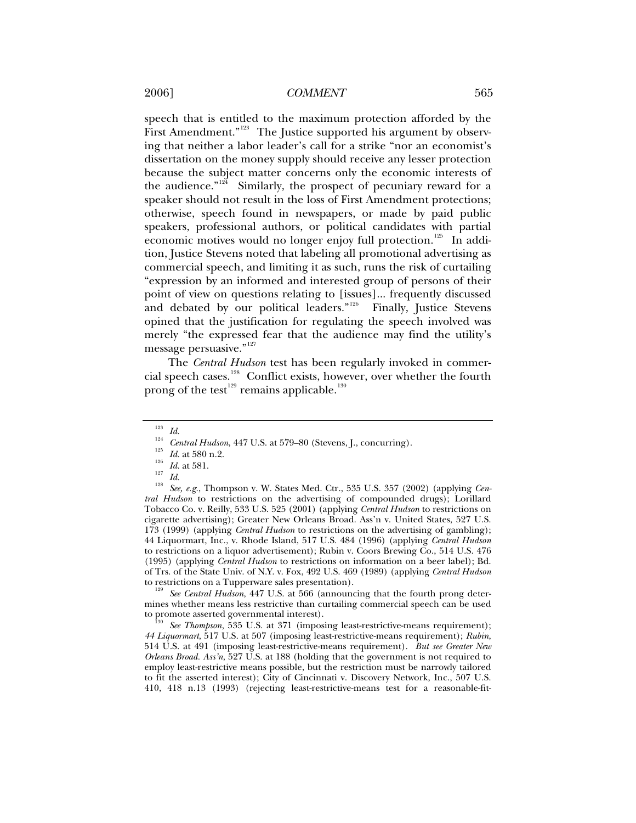speech that is entitled to the maximum protection afforded by the First Amendment."<sup>[123](#page-14-0)</sup> The Justice supported his argument by observing that neither a labor leader's call for a strike "nor an economist's dissertation on the money supply should receive any lesser protection because the subject matter concerns only the economic interests of the audience." $124$  Similarly, the prospect of pecuniary reward for a speaker should not result in the loss of First Amendment protections; otherwise, speech found in newspapers, or made by paid public speakers, professional authors, or political candidates with partial economic motives would no longer enjoy full protection.<sup>[125](#page-14-2)</sup> In addition, Justice Stevens noted that labeling all promotional advertising as commercial speech, and limiting it as such, runs the risk of curtailing "expression by an informed and interested group of persons of their point of view on questions relating to [issues]... frequently discussed and debated by our political leaders."<sup>[126](#page-14-3)</sup> Finally, Justice Stevens opined that the justification for regulating the speech involved was merely "the expressed fear that the audience may find the utility's message persuasive."<sup>[127](#page-14-4)</sup>

The *Central Hudson* test has been regularly invoked in commer-cial speech cases.<sup>[128](#page-14-5)</sup> Conflict exists, however, over whether the fourth prong of the test $^{129}$  $^{129}$  $^{129}$  remains applicable. $^{130}$  $^{130}$  $^{130}$ 

<span id="page-14-6"></span>mines whether means less restrictive than curtailing commercial speech can be used<br>to promote asserted governmental interest).

<span id="page-14-7"></span>See Thompson, 535 U.S. at 371 (imposing least-restrictive-means requirement); *44 Liquormart*, 517 U.S. at 507 (imposing least-restrictive-means requirement); *Rubin*, 514 U.S. at 491 (imposing least-restrictive-means requirement). *But see Greater New Orleans Broad. Ass'n*, 527 U.S. at 188 (holding that the government is not required to employ least-restrictive means possible, but the restriction must be narrowly tailored to fit the asserted interest); City of Cincinnati v. Discovery Network, Inc., 507 U.S. 410, 418 n.13 (1993) (rejecting least-restrictive-means test for a reasonable-fit-

<span id="page-14-5"></span><span id="page-14-4"></span><span id="page-14-3"></span><span id="page-14-2"></span><span id="page-14-1"></span><span id="page-14-0"></span><sup>&</sup>lt;sup>123</sup> *Id.*<br>
<sup>124</sup> *Central Hudson*, 447 U.S. at 579–80 (Stevens, J., concurring).<br>
<sup>125</sup> *Id.* at 580 n.2.<br>
<sup>126</sup> *Id.* at 581.<br>
<sup>127</sup> *Id.*<br>
<sup>127</sup> *Id.*<br> *Ies see, e.g.*, Thompson v. W. States Med. Ctr., 535 U.S. 357 (2 *tral Hudson* to restrictions on the advertising of compounded drugs); Lorillard Tobacco Co. v. Reilly, 533 U.S. 525 (2001) (applying *Central Hudson* to restrictions on cigarette advertising); Greater New Orleans Broad. Ass'n v. United States, 527 U.S. 173 (1999) (applying *Central Hudson* to restrictions on the advertising of gambling); 44 Liquormart, Inc., v. Rhode Island, 517 U.S. 484 (1996) (applying *Central Hudson*  to restrictions on a liquor advertisement); Rubin v. Coors Brewing Co., 514 U.S. 476 (1995) (applying *Central Hudson* to restrictions on information on a beer label); Bd. of Trs. of the State Univ. of N.Y. v. Fox, 492 U.S. 469 (1989) (applying *Central Hudson* to restrictions on a Tupperware sales presentation). 129 *See Central Hudson*, 447 U.S. at 566 (announcing that the fourth prong deter-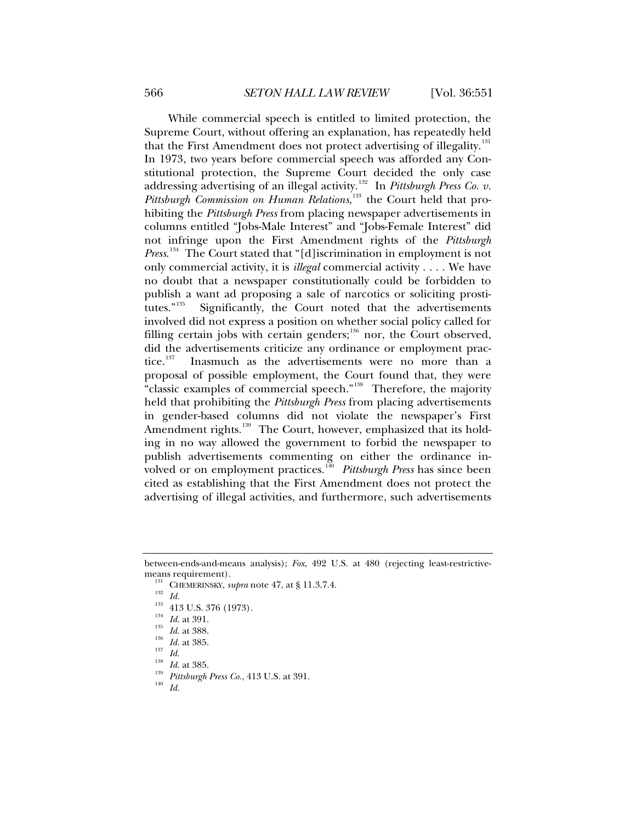While commercial speech is entitled to limited protection, the Supreme Court, without offering an explanation, has repeatedly held that the First Amendment does not protect advertising of illegality.<sup>[131](#page-15-0)</sup> In 1973, two years before commercial speech was afforded any Constitutional protection, the Supreme Court decided the only case addressing advertising of an illegal activity.<sup>[132](#page-15-1)</sup> In *Pittsburgh Press Co. v.* Pittsburgh Commission on Human Relations,<sup>[133](#page-15-2)</sup> the Court held that prohibiting the *Pittsburgh Press* from placing newspaper advertisements in columns entitled "Jobs-Male Interest" and "Jobs-Female Interest" did not infringe upon the First Amendment rights of the *Pittsburgh Press*. [134](#page-15-3) The Court stated that "[d]iscrimination in employment is not only commercial activity, it is *illegal* commercial activity . . . . We have no doubt that a newspaper constitutionally could be forbidden to publish a want ad proposing a sale of narcotics or soliciting prosti-tutes."<sup>[135](#page-15-4)</sup> Significantly, the Court noted that the advertisements involved did not express a position on whether social policy called for filling certain jobs with certain genders;<sup>[136](#page-15-5)</sup> nor, the Court observed, did the advertisements criticize any ordinance or employment prac-<br>tice.<sup>137</sup> Inasmuch as the advertisements were no more than a Inasmuch as the advertisements were no more than a proposal of possible employment, the Court found that, they were "classic examples of commercial speech."<sup>[138](#page-15-7)</sup> Therefore, the majority held that prohibiting the *Pittsburgh Press* from placing advertisements in gender-based columns did not violate the newspaper's First Amendment rights.<sup>[139](#page-15-8)</sup> The Court, however, emphasized that its holding in no way allowed the government to forbid the newspaper to publish advertisements commenting on either the ordinance involved or on employment practices.[140](#page-15-9) *Pittsburgh Press* has since been cited as establishing that the First Amendment does not protect the advertising of illegal activities, and furthermore, such advertisements

- 
- 

<span id="page-15-4"></span><span id="page-15-3"></span><span id="page-15-2"></span><span id="page-15-1"></span><span id="page-15-0"></span>between-ends-and-means analysis); *Fox*, 492 U.S. at 480 (rejecting least-restrictivemeans requirement).<br>
<sup>131</sup> CHEMERINSKY, *supra* note 47, at § 11.3.7.4.<br>
<sup>132</sup> Id.<br>
<sup>133</sup> 413 U.S. 376 (1973).<br>
<sup>134</sup> Id. at 391.<br>
<sup>135</sup> Id. at 388.<br>
<sup>136</sup> Id. at 385.<br>
<sup>137</sup> Id.<br>
<sup>138</sup> Id. at 385.<br>
<sup>137</sup> Id. at 385.<br>
<sup>13</sup>

<span id="page-15-6"></span><span id="page-15-5"></span>

<span id="page-15-9"></span><span id="page-15-8"></span><span id="page-15-7"></span>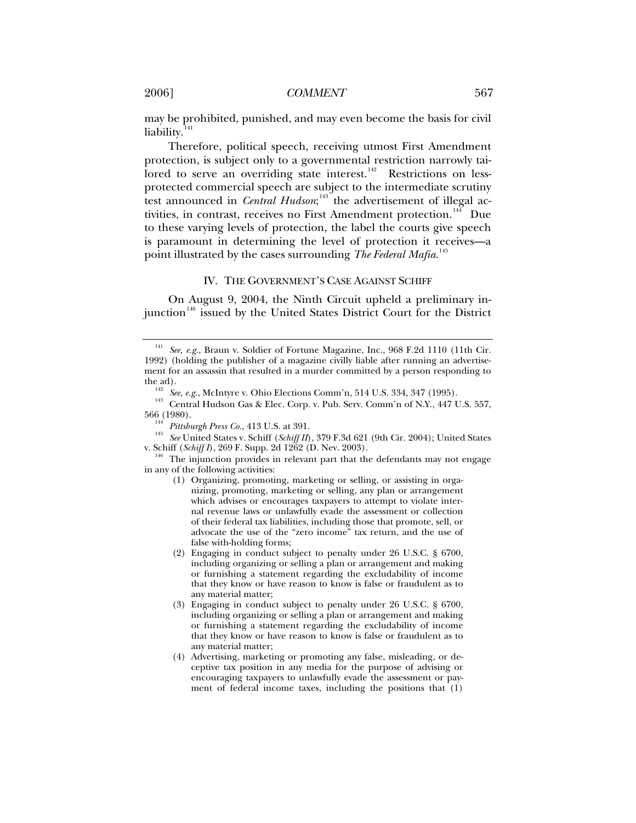may be prohibited, punished, and may even become the basis for civil liability. $141$ 

Therefore, political speech, receiving utmost First Amendment protection, is subject only to a governmental restriction narrowly tai- $\frac{1}{2}$  lored to serve an overriding state interest.<sup>[142](#page-16-1)</sup> Restrictions on lessprotected commercial speech are subject to the intermediate scrutiny test announced in *Central Hudson*;<sup>[143](#page-16-2)</sup> the advertisement of illegal ac-tivities, in contrast, receives no First Amendment protection.<sup>[144](#page-16-3)</sup> Due to these varying levels of protection, the label the courts give speech is paramount in determining the level of protection it receives—a point illustrated by the cases surrounding *The Federal Mafia*. [145](#page-16-4)

## IV. THE GOVERNMENT'S CASE AGAINST SCHIFF

On August 9, 2004, the Ninth Circuit upheld a preliminary in-junction<sup>[146](#page-16-5)</sup> issued by the United States District Court for the District

<span id="page-16-0"></span><sup>141</sup> *See, e.g.*, Braun v. Soldier of Fortune Magazine, Inc., 968 F.2d 1110 (11th Cir. 1992) (holding the publisher of a magazine civilly liable after running an advertisement for an assassin that resulted in a murder committed by a person responding to

<span id="page-16-2"></span><span id="page-16-1"></span><sup>&</sup>lt;sup>142</sup> See, e.g., McIntyre v. Ohio Elections Comm'n, 514 U.S. 334, 347 (1995).<br><sup>143</sup> Central Hudson Gas & Elec. Corp. v. Pub. Serv. Comm'n of N.Y., 447 U.S. 557,<br>566 (1980).

<span id="page-16-4"></span><span id="page-16-3"></span><sup>566 (1980). 144</sup> *Pittsburgh Press Co.*, 413 U.S. at 391. 145 *See* United States v. Schiff (*Schiff II*), 379 F.3d 621 (9th Cir. 2004); United States v. Schiff (*Schiff I*), 269 F. Supp. 2d 1262 (D. Nev. 2003).<br><sup>146</sup> The injunction provides in relevant part that the defendants may not engage

<span id="page-16-5"></span>in any of the following activities:

<sup>(1)</sup> Organizing, promoting, marketing or selling, or assisting in organizing, promoting, marketing or selling, any plan or arrangement which advises or encourages taxpayers to attempt to violate internal revenue laws or unlawfully evade the assessment or collection of their federal tax liabilities, including those that promote, sell, or advocate the use of the "zero income" tax return, and the use of false with-holding forms;

<sup>(2)</sup> Engaging in conduct subject to penalty under 26 U.S.C. § 6700, including organizing or selling a plan or arrangement and making or furnishing a statement regarding the excludability of income that they know or have reason to know is false or fraudulent as to any material matter;

<sup>(3)</sup> Engaging in conduct subject to penalty under 26 U.S.C. § 6700, including organizing or selling a plan or arrangement and making or furnishing a statement regarding the excludability of income that they know or have reason to know is false or fraudulent as to any material matter;

<sup>(4)</sup> Advertising, marketing or promoting any false, misleading, or deceptive tax position in any media for the purpose of advising or encouraging taxpayers to unlawfully evade the assessment or payment of federal income taxes, including the positions that (1)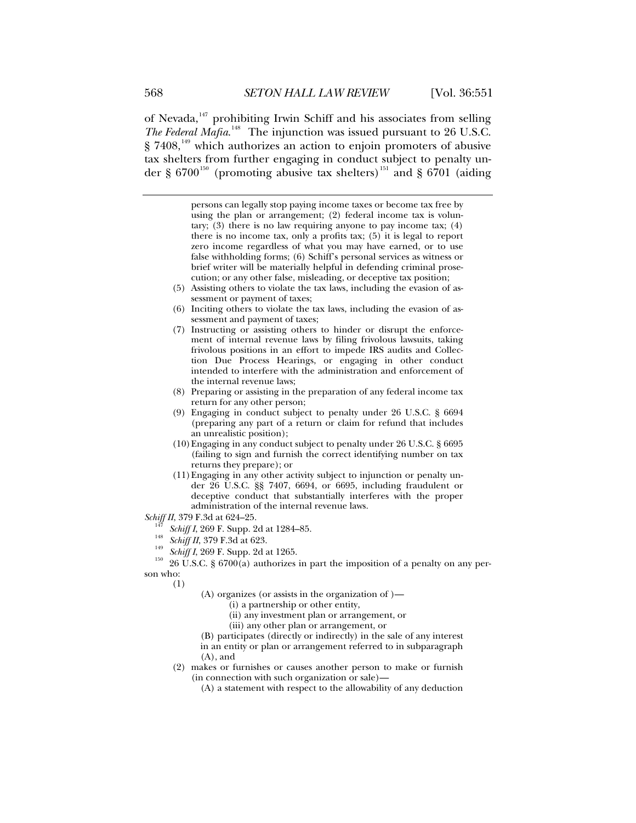of Nevada,<sup>[147](#page-17-0)</sup> prohibiting Irwin Schiff and his associates from selling The Federal Mafia.<sup>[148](#page-17-1)</sup> The injunction was issued pursuant to 26 U.S.C.  $\S$  7408,<sup>[149](#page-17-2)</sup> which authorizes an action to enjoin promoters of abusive tax shelters from further engaging in conduct subject to penalty un-der § 6700<sup>[150](#page-17-3)</sup> (promoting abusive tax shelters)<sup>[151](#page-17-4)</sup> and § 6701 (aiding

> persons can legally stop paying income taxes or become tax free by using the plan or arrangement; (2) federal income tax is voluntary; (3) there is no law requiring anyone to pay income tax; (4) there is no income tax, only a profits tax; (5) it is legal to report zero income regardless of what you may have earned, or to use false withholding forms; (6) Schiff's personal services as witness or brief writer will be materially helpful in defending criminal prosecution; or any other false, misleading, or deceptive tax position;

- (5) Assisting others to violate the tax laws, including the evasion of assessment or payment of taxes;
- (6) Inciting others to violate the tax laws, including the evasion of assessment and payment of taxes;
- (7) Instructing or assisting others to hinder or disrupt the enforcement of internal revenue laws by filing frivolous lawsuits, taking frivolous positions in an effort to impede IRS audits and Collection Due Process Hearings, or engaging in other conduct intended to interfere with the administration and enforcement of the internal revenue laws;
- (8) Preparing or assisting in the preparation of any federal income tax return for any other person;
- (9) Engaging in conduct subject to penalty under 26 U.S.C. § 6694 (preparing any part of a return or claim for refund that includes an unrealistic position);
- (10)Engaging in any conduct subject to penalty under 26 U.S.C. § 6695 (failing to sign and furnish the correct identifying number on tax returns they prepare); or
- (11)Engaging in any other activity subject to injunction or penalty under 26 U.S.C. §§ 7407, 6694, or 6695, including fraudulent or deceptive conduct that substantially interferes with the proper administration of the internal revenue laws.

- 
- 
- 

<span id="page-17-4"></span><span id="page-17-3"></span><span id="page-17-2"></span><span id="page-17-1"></span><span id="page-17-0"></span>Schiff II, 379 F.3d at 624–25.<br>
<sup>147</sup> Schiff I, 269 F. Supp. 2d at 1284–85.<br>
<sup>148</sup> Schiff II, 379 F.3d at 623.<br>
<sup>149</sup> Schiff I, 269 F. Supp. 2d at 1265.<br>
<sup>149</sup> Schiff I, 269 F. Supp. 2d at 1265.<br>
<sup>150</sup> 26 U.S.C. § 6700(a) son who:

(1)

- (A) organizes (or assists in the organization of )—
	- (i) a partnership or other entity,
	- (ii) any investment plan or arrangement, or
	- (iii) any other plan or arrangement, or
- (B) participates (directly or indirectly) in the sale of any interest in an entity or plan or arrangement referred to in subparagraph
- (A), and
- (2) makes or furnishes or causes another person to make or furnish (in connection with such organization or sale)—
	- (A) a statement with respect to the allowability of any deduction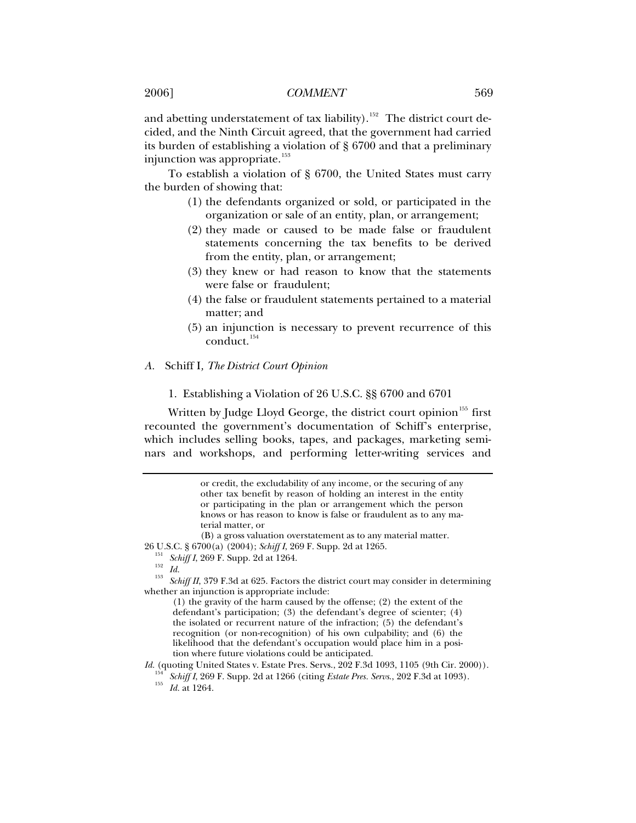and abetting understatement of tax liability).<sup>[152](#page-18-0)</sup> The district court decided, and the Ninth Circuit agreed, that the government had carried its burden of establishing a violation of § 6700 and that a preliminary injunction was appropriate.<sup>[153](#page-18-1)</sup>

To establish a violation of § 6700, the United States must carry the burden of showing that:

- (1) the defendants organized or sold, or participated in the organization or sale of an entity, plan, or arrangement;
- (2) they made or caused to be made false or fraudulent statements concerning the tax benefits to be derived from the entity, plan, or arrangement;
- (3) they knew or had reason to know that the statements were false or fraudulent;
- (4) the false or fraudulent statements pertained to a material matter; and
- (5) an injunction is necessary to prevent recurrence of this  $\alpha$ conduct.<sup>[154](#page-18-2)</sup>

## *A.* Schiff I*, The District Court Opinion*

1. Establishing a Violation of 26 U.S.C. §§ 6700 and 6701

Written by Judge Lloyd George, the district court opinion<sup>[155](#page-18-3)</sup> first recounted the government's documentation of Schiff's enterprise, which includes selling books, tapes, and packages, marketing seminars and workshops, and performing letter-writing services and

(B) a gross valuation overstatement as to any material matter.

<span id="page-18-1"></span><span id="page-18-0"></span>26 U.S.C. § 6700(a) (2004); *Schiff I*, 269 F. Supp. 2d at 1265.<br><sup>151</sup> *Schiff I*, 269 F. Supp. 2d at 1264.<br><sup>152</sup> *Id.*<br><sup>153</sup> *Schiff II*, 379 F.3d at 625. Factors the district court may consider in determining whether an injunction is appropriate include:

(1) the gravity of the harm caused by the offense; (2) the extent of the defendant's participation; (3) the defendant's degree of scienter; (4) the isolated or recurrent nature of the infraction; (5) the defendant's recognition (or non-recognition) of his own culpability; and (6) the likelihood that the defendant's occupation would place him in a position where future violations could be anticipated.

<span id="page-18-3"></span><span id="page-18-2"></span>*Id.* (quoting United States v. Estate Pres. Servs., 202 F.3d 1093, 1105 (9th Cir. 2000)).

<sup>154</sup> *Schiff I*, 269 F. Supp. 2d at 1266 (citing *Estate Pres. Servs*., 202 F.3d at 1093). 155 *Id.* at 1264.

or credit, the excludability of any income, or the securing of any other tax benefit by reason of holding an interest in the entity or participating in the plan or arrangement which the person knows or has reason to know is false or fraudulent as to any material matter, or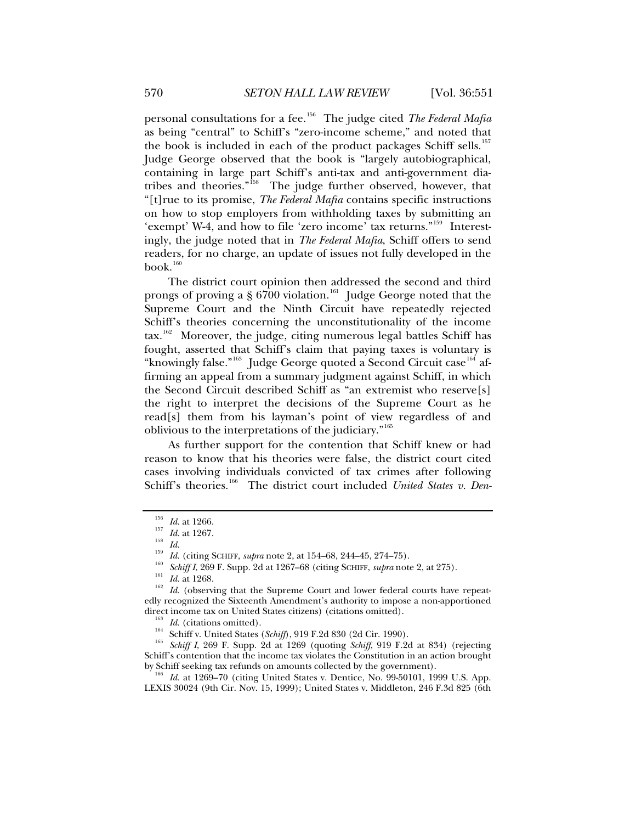personal consultations for a fee.[156](#page-19-0) The judge cited *The Federal Mafia*  as being "central" to Schiff's "zero-income scheme," and noted that the book is included in each of the product packages Schiff sells.<sup>[157](#page-19-1)</sup> Judge George observed that the book is "largely autobiographical, containing in large part Schiff's anti-tax and anti-government diatribes and theories."[158](#page-19-2) The judge further observed, however, that "[t]rue to its promise, *The Federal Mafia* contains specific instructions on how to stop employers from withholding taxes by submitting an 'exempt' W-4, and how to file 'zero income' tax returns."[159](#page-19-3) Interestingly, the judge noted that in *The Federal Mafia*, Schiff offers to send readers, for no charge, an update of issues not fully developed in the  $book.<sup>160</sup>$  $book.<sup>160</sup>$  $book.<sup>160</sup>$ 

The district court opinion then addressed the second and third prongs of proving a §  $6700$  violation.<sup>[161](#page-19-5)</sup> Judge George noted that the Supreme Court and the Ninth Circuit have repeatedly rejected Schiff's theories concerning the unconstitutionality of the income tax.<sup>[162](#page-19-6)</sup> Moreover, the judge, citing numerous legal battles Schiff has fought, asserted that Schiff's claim that paying taxes is voluntary is "knowingly false."<sup>[163](#page-19-7)</sup> Judge George quoted a Second Circuit case<sup>[164](#page-19-8)</sup> affirming an appeal from a summary judgment against Schiff, in which the Second Circuit described Schiff as "an extremist who reserve[s] the right to interpret the decisions of the Supreme Court as he read[s] them from his layman's point of view regardless of and oblivious to the interpretations of the judiciary."[165](#page-19-9)

As further support for the contention that Schiff knew or had reason to know that his theories were false, the district court cited cases involving individuals convicted of tax crimes after following Schiff's theories.<sup>[166](#page-19-10)</sup> The district court included *United States v. Den-*

<span id="page-19-2"></span><span id="page-19-1"></span><span id="page-19-0"></span>

<sup>&</sup>lt;sup>156</sup> *Id.* at 1266.<br>
<sup>157</sup> *Id.* at 1267.<br>
<sup>158</sup> *Id.* (citing SCHIFF, *supra* note 2, at 154–68, 244–45, 274–75).<br>
<sup>159</sup> *Id.* (citing SCHIFF, *supra* note 2, at 1267–68 (citing SCHIFF, *supra* note 2, at 275).<br>
<sup>161</sup>

<span id="page-19-6"></span><span id="page-19-5"></span><span id="page-19-4"></span><span id="page-19-3"></span>edly recognized the Sixteenth Amendment's authority to impose a non-apportioned

<span id="page-19-9"></span><span id="page-19-8"></span><span id="page-19-7"></span><sup>&</sup>lt;sup>163</sup> *Id.* (citations omitted).<br><sup>164</sup> Schiff v. United States (*Schiff*), 919 F.2d 830 (2d Cir. 1990).<br><sup>165</sup> *Schiff I*, 269 F. Supp. 2d at 1269 (quoting *Schiff*, 919 F.2d at 834) (rejecting Schiff's contention that the income tax violates the Constitution in an action brought by Schiff seeking tax refunds on amounts collected by the government).

<span id="page-19-10"></span>*Id.* at 1269–70 (citing United States v. Dentice, No. 99-50101, 1999 U.S. App. LEXIS 30024 (9th Cir. Nov. 15, 1999); United States v. Middleton, 246 F.3d 825 (6th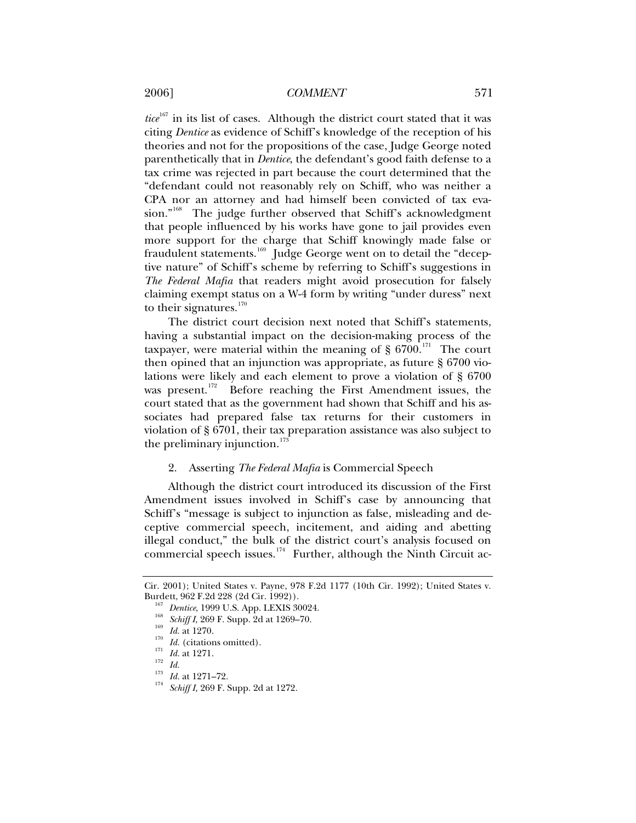*tice*<sup>[167](#page-20-0)</sup> in its list of cases. Although the district court stated that it was citing *Dentice* as evidence of Schiff's knowledge of the reception of his theories and not for the propositions of the case, Judge George noted parenthetically that in *Dentice*, the defendant's good faith defense to a tax crime was rejected in part because the court determined that the "defendant could not reasonably rely on Schiff, who was neither a CPA nor an attorney and had himself been convicted of tax eva-sion."<sup>[168](#page-20-1)</sup> The judge further observed that Schiff's acknowledgment that people influenced by his works have gone to jail provides even more support for the charge that Schiff knowingly made false or fraudulent statements.<sup>[169](#page-20-2)</sup> Judge George went on to detail the "deceptive nature" of Schiff's scheme by referring to Schiff's suggestions in *The Federal Mafia* that readers might avoid prosecution for falsely claiming exempt status on a W-4 form by writing "under duress" next to their signatures. $170$ 

The district court decision next noted that Schiff's statements, having a substantial impact on the decision-making process of the taxpayer, were material within the meaning of  $\S$  6700.<sup>[171](#page-20-4)</sup> The court then opined that an injunction was appropriate, as future § 6700 violations were likely and each element to prove a violation of § 6700 was present.<sup>[172](#page-20-5)</sup> Before reaching the First Amendment issues, the court stated that as the government had shown that Schiff and his associates had prepared false tax returns for their customers in violation of § 6701, their tax preparation assistance was also subject to the preliminary injunction.<sup>[173](#page-20-6)</sup>

## 2. Asserting *The Federal Mafia* is Commercial Speech

Although the district court introduced its discussion of the First Amendment issues involved in Schiff's case by announcing that Schiff's "message is subject to injunction as false, misleading and deceptive commercial speech, incitement, and aiding and abetting illegal conduct," the bulk of the district court's analysis focused on commercial speech issues.<sup>[174](#page-20-7)</sup> Further, although the Ninth Circuit ac-

<span id="page-20-3"></span><span id="page-20-2"></span><span id="page-20-1"></span><span id="page-20-0"></span>Cir. 2001); United States v. Payne, 978 F.2d 1177 (10th Cir. 1992); United States v. Burdett, 962 F.2d 228 (2d Cir. 1992)).<br>
<sup>167</sup> Dentice, 1999 U.S. App. LEXIS 30024.<br>
<sup>168</sup> Schiff I, 269 F. Supp. 2d at 1269–70.<br> *Id.* at 1270.<br>
<sup>170</sup> Id. (citations omitted).<br>
<sup>171</sup> Id. at 1271.<br>
<sup>173</sup> Id. at 1271–72.<br>
<sup>1</sup>

<span id="page-20-4"></span>

<span id="page-20-7"></span><span id="page-20-6"></span><span id="page-20-5"></span>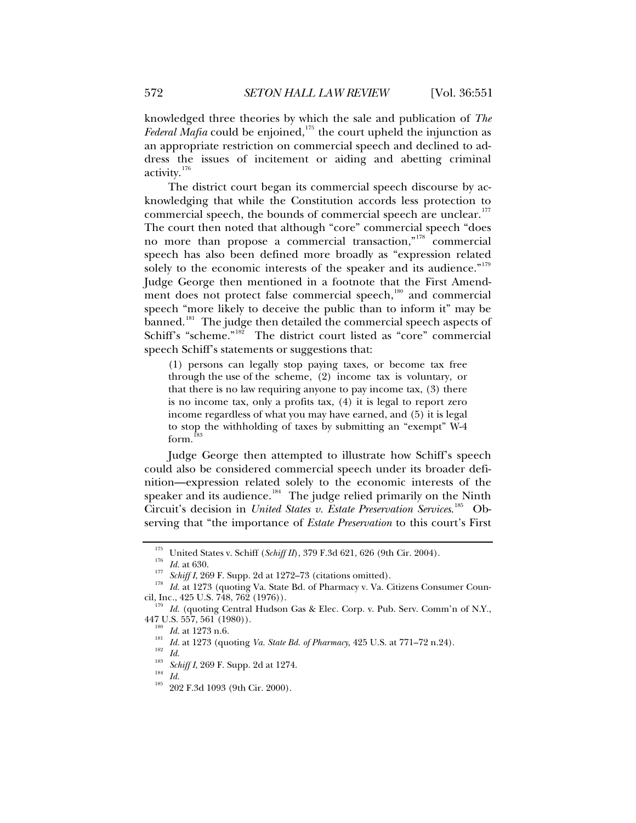knowledged three theories by which the sale and publication of *The Federal Mafia* could be enjoined,<sup>[175](#page-21-0)</sup> the court upheld the injunction as an appropriate restriction on commercial speech and declined to address the issues of incitement or aiding and abetting criminal activity.[176](#page-21-1)

The district court began its commercial speech discourse by acknowledging that while the Constitution accords less protection to commercial speech, the bounds of commercial speech are unclear.<sup>[177](#page-21-2)</sup> The court then noted that although "core" commercial speech "does no more than propose a commercial transaction,"[178](#page-21-3) commercial speech has also been defined more broadly as "expression related solely to the economic interests of the speaker and its audience." $179$ Judge George then mentioned in a footnote that the First Amend-ment does not protect false commercial speech,<sup>[180](#page-21-5)</sup> and commercial speech "more likely to deceive the public than to inform it" may be banned.<sup>[181](#page-21-6)</sup> The judge then detailed the commercial speech aspects of Schiff's "scheme."<sup>[182](#page-21-7)</sup> The district court listed as "core" commercial speech Schiff's statements or suggestions that:

(1) persons can legally stop paying taxes, or become tax free through the use of the scheme, (2) income tax is voluntary, or that there is no law requiring anyone to pay income tax, (3) there is no income tax, only a profits tax, (4) it is legal to report zero income regardless of what you may have earned, and (5) it is legal to stop the withholding of taxes by submitting an "exempt" W-4 form.<sup>1</sup>

Judge George then attempted to illustrate how Schiff's speech could also be considered commercial speech under its broader definition—expression related solely to the economic interests of the speaker and its audience.<sup>[184](#page-21-9)</sup> The judge relied primarily on the Ninth Circuit's decision in *United States v. Estate Preservation Services*. [185](#page-21-10) Observing that "the importance of *Estate Preservation* to this court's First

<span id="page-21-1"></span><span id="page-21-0"></span><sup>&</sup>lt;sup>175</sup> United States v. Schiff (*Schiff II*), 379 F.3d 621, 626 (9th Cir. 2004).<br> *Id.* at 630.<br> *Schiff I,* 269 F. Supp. 2d at 1272–73 (citations omitted).<br> *Id.* at 1273 (quoting Va. State Bd. of Pharmacy v. Va. Citizens

<span id="page-21-7"></span><span id="page-21-6"></span><span id="page-21-5"></span><span id="page-21-4"></span><span id="page-21-3"></span><span id="page-21-2"></span>cil, Inc*.*, 425 U.S. 748, 762 (1976)). 179 *Id.* (quoting Central Hudson Gas & Elec. Corp. v. Pub. Serv. Comm'n of N.Y*.*, 447 U.S. 557, 561 (1980)).<br>
<sup>180</sup> Id. at 1273 n.6.<br>
<sup>181</sup> Id. at 1273 (quoting *Va. State Bd. of Pharmacy*, 425 U.S. at 771–72 n.24).<br>
<sup>182</sup> Id.<br>
<sup>183</sup> Schiff I, 269 F. Supp. 2d at 1274.<br>
<sup>184</sup> Id.<br>
<sup>184</sup> 202 F.3d 1093 (9

<span id="page-21-10"></span><span id="page-21-9"></span><span id="page-21-8"></span>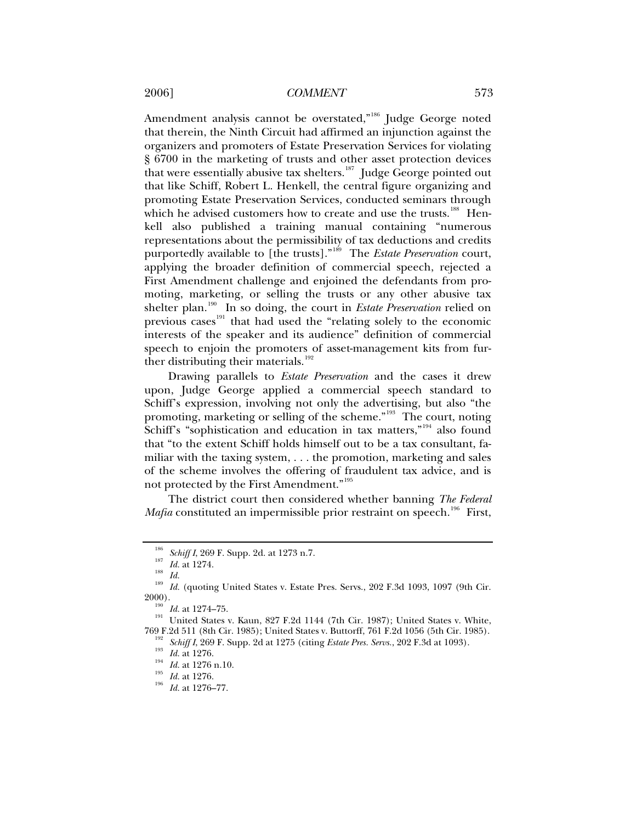Amendment analysis cannot be overstated,"<sup>[186](#page-22-0)</sup> Judge George noted that therein, the Ninth Circuit had affirmed an injunction against the organizers and promoters of Estate Preservation Services for violating § 6700 in the marketing of trusts and other asset protection devices that were essentially abusive tax shelters.<sup>[187](#page-22-1)</sup> Judge George pointed out that like Schiff, Robert L. Henkell, the central figure organizing and promoting Estate Preservation Services, conducted seminars through which he advised customers how to create and use the trusts.<sup>[188](#page-22-2)</sup> Henkell also published a training manual containing "numerous representations about the permissibility of tax deductions and credits purportedly available to [the trusts]."[189](#page-22-3) The *Estate Preservation* court, applying the broader definition of commercial speech, rejected a First Amendment challenge and enjoined the defendants from promoting, marketing, or selling the trusts or any other abusive tax shelter plan.<sup>[190](#page-22-4)</sup> In so doing, the court in *Estate Preservation* relied on previous cases<sup>[191](#page-22-5)</sup> that had used the "relating solely to the economic interests of the speaker and its audience" definition of commercial speech to enjoin the promoters of asset-management kits from fur-ther distributing their materials.<sup>[192](#page-22-6)</sup>

Drawing parallels to *Estate Preservation* and the cases it drew upon, Judge George applied a commercial speech standard to Schiff's expression, involving not only the advertising, but also "the promoting, marketing or selling of the scheme."[193](#page-22-7) The court, noting Schiff's "sophistication and education in tax matters,"<sup>[194](#page-22-8)</sup> also found that "to the extent Schiff holds himself out to be a tax consultant, familiar with the taxing system, . . . the promotion, marketing and sales of the scheme involves the offering of fraudulent tax advice, and is not protected by the First Amendment."[195](#page-22-9)

The district court then considered whether banning *The Federal Mafia* constituted an impermissible prior restraint on speech.<sup>[196](#page-22-10)</sup> First,

<span id="page-22-1"></span><span id="page-22-0"></span><sup>&</sup>lt;sup>186</sup> Schiff I, 269 F. Supp. 2d. at 1273 n.7.<br>
<sup>187</sup> Id. at 1274.<br>
<sup>188</sup> Id. (quoting United States v. Estate Pres. Servs., 202 F.3d 1093, 1097 (9th Cir.<br>
<sup>189</sup> Id. (quoting United States v. Estate Pres. Servs., 202 F.3d 1

<span id="page-22-6"></span><span id="page-22-5"></span><span id="page-22-4"></span><span id="page-22-3"></span><span id="page-22-2"></span><sup>2000).&</sup>lt;br><sup>190</sup> *Id.* at 1274–75.<br><sup>191</sup> United States v. Kaun, 827 F.2d 1144 (7th Cir. 1987); United States v. White,<br>769 F.2d 511 (8th Cir. 1985); United States v. Buttorff. 761 F.2d 1056 (5th Cir. 1985).

<span id="page-22-8"></span><span id="page-22-7"></span><sup>&</sup>lt;sup>192</sup> Schiff I, 269 F. Supp. 2d at 1275 (citing *Estate Pres. Servs.*, 202 F.3d at 1093).<br>
<sup>193</sup> Id. at 1276.<br>
<sup>194</sup> Id. at 1276 n.10.<br>
<sup>195</sup> Id. at 1276.<br> *Id.* at 1276.<br> *Id.* at 1276.<br> *Id.* at 1276.

<span id="page-22-9"></span>

<span id="page-22-10"></span>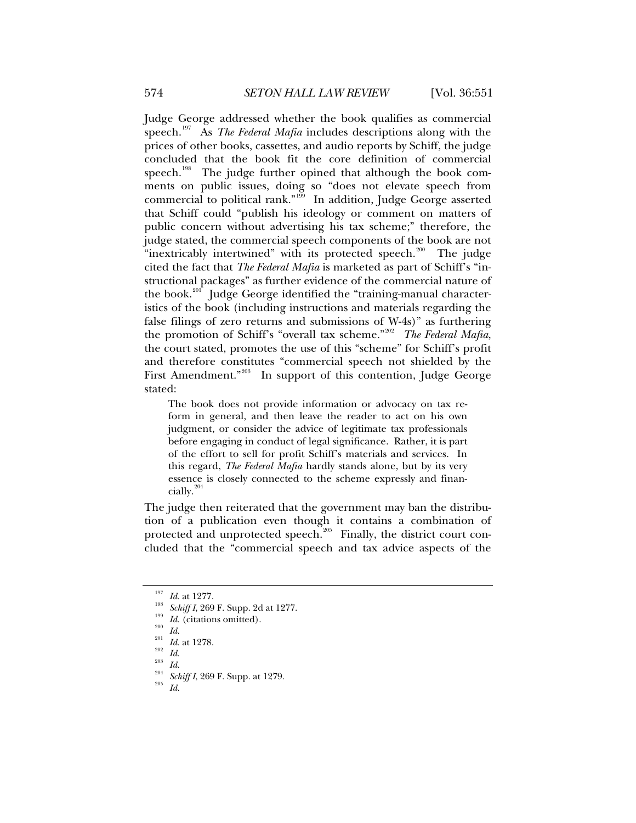Judge George addressed whether the book qualifies as commercial speech.<sup>[197](#page-23-0)</sup> As *The Federal Mafia* includes descriptions along with the prices of other books, cassettes, and audio reports by Schiff, the judge concluded that the book fit the core definition of commercial speech.<sup>[198](#page-23-1)</sup> The judge further opined that although the book comments on public issues, doing so "does not elevate speech from commercial to political rank."<sup>[199](#page-23-2)</sup> In addition, Judge George asserted that Schiff could "publish his ideology or comment on matters of public concern without advertising his tax scheme;" therefore, the judge stated, the commercial speech components of the book are not "inextricably intertwined" with its protected speech.<sup>[200](#page-23-3)</sup> The judge cited the fact that *The Federal Mafia* is marketed as part of Schiff's "instructional packages" as further evidence of the commercial nature of the book.<sup>[201](#page-23-4)</sup> Judge George identified the "training-manual characteristics of the book (including instructions and materials regarding the false filings of zero returns and submissions of W-4s)" as furthering the promotion of Schiff's "overall tax scheme."<sup>[202](#page-23-5)</sup> The Federal Mafia, the court stated, promotes the use of this "scheme" for Schiff's profit and therefore constitutes "commercial speech not shielded by the First Amendment."<sup>[203](#page-23-6)</sup> In support of this contention, Judge George stated:

The book does not provide information or advocacy on tax reform in general, and then leave the reader to act on his own judgment, or consider the advice of legitimate tax professionals before engaging in conduct of legal significance. Rather, it is part of the effort to sell for profit Schiff's materials and services. In this regard, *The Federal Mafia* hardly stands alone, but by its very essence is closely connected to the scheme expressly and financially. $^{20}$ 

The judge then reiterated that the government may ban the distribution of a publication even though it contains a combination of protected and unprotected speech.<sup>[205](#page-23-8)</sup> Finally, the district court concluded that the "commercial speech and tax advice aspects of the

<span id="page-23-6"></span>

<span id="page-23-1"></span><span id="page-23-0"></span><sup>&</sup>lt;sup>197</sup> *Id.* at 1277.<br>
<sup>198</sup> *Schiff I*, 269 F. Supp. 2d at 1277.<br>
<sup>199</sup> *Id.* (citations omitted).<br>
<sup>201</sup> *Id.* at 1278.<br>
<sup>202</sup> *Id.*<br> *La.*<br>
<sup>203</sup> *Id.*<br> *Schiff I*, 269 F. Supp. at 1279.<br> *2*<sup>05</sup> *Id.* 

<span id="page-23-2"></span>

<span id="page-23-4"></span><span id="page-23-3"></span>

<span id="page-23-5"></span>

<span id="page-23-8"></span><span id="page-23-7"></span>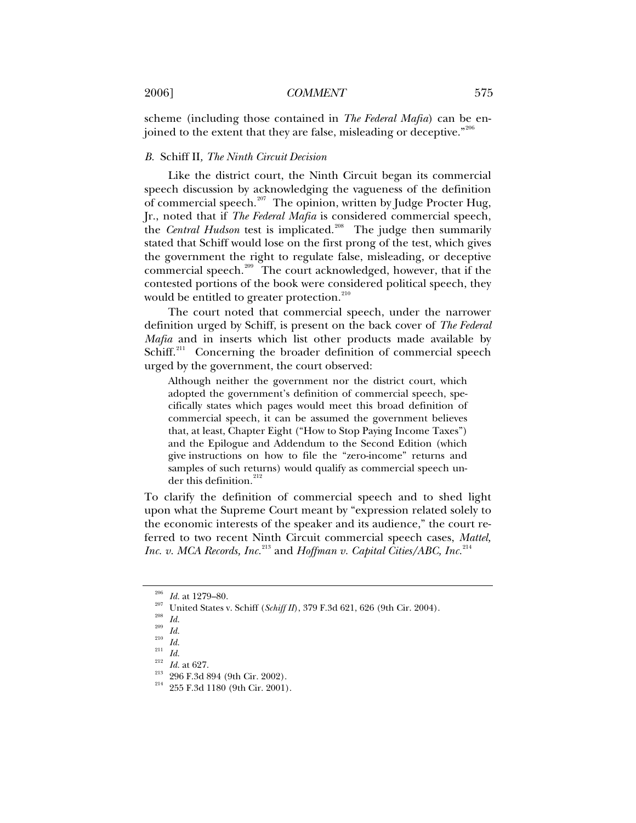scheme (including those contained in *The Federal Mafia*) can be en-joined to the extent that they are false, misleading or deceptive."[206](#page-24-0)

#### *B.* Schiff II*, The Ninth Circuit Decision*

Like the district court, the Ninth Circuit began its commercial speech discussion by acknowledging the vagueness of the definition of commercial speech.<sup>[207](#page-24-1)</sup> The opinion, written by Judge Procter Hug, Jr., noted that if *The Federal Mafia* is considered commercial speech, the *Central Hudson* test is implicated.<sup>[208](#page-24-2)</sup> The judge then summarily stated that Schiff would lose on the first prong of the test, which gives the government the right to regulate false, misleading, or deceptive commercial speech.<sup>[209](#page-24-3)</sup> The court acknowledged, however, that if the contested portions of the book were considered political speech, they would be entitled to greater protection.<sup>[210](#page-24-4)</sup>

The court noted that commercial speech, under the narrower definition urged by Schiff, is present on the back cover of *The Federal Mafia* and in inserts which list other products made available by Schiff.<sup>[211](#page-24-5)</sup> Concerning the broader definition of commercial speech urged by the government, the court observed:

Although neither the government nor the district court, which adopted the government's definition of commercial speech, specifically states which pages would meet this broad definition of commercial speech, it can be assumed the government believes that, at least, Chapter Eight ("How to Stop Paying Income Taxes") and the Epilogue and Addendum to the Second Edition (which give instructions on how to file the "zero-income" returns and samples of such returns) would qualify as commercial speech un-der this definition.<sup>[212](#page-24-6)</sup>

To clarify the definition of commercial speech and to shed light upon what the Supreme Court meant by "expression related solely to the economic interests of the speaker and its audience," the court referred to two recent Ninth Circuit commercial speech cases, *Mattel, Inc. v. MCA Records, Inc.*<sup>[213](#page-24-7)</sup> and *Hoffman v. Capital Cities/ABC, Inc.*<sup>[214](#page-24-8)</sup>

<span id="page-24-1"></span><span id="page-24-0"></span>

<sup>&</sup>lt;sup>206</sup> *Id.* at 1279–80.<br>
<sup>207</sup> United States v. Schiff (*Schiff II*), 379 F.3d 621, 626 (9th Cir. 2004).<br>
<sup>208</sup> *Id.*<br>
<sup>210</sup> *Id.*<br>
<sup>211</sup> *Id.*<br>
<sup>212</sup> *Id.*<br>
<sup>212</sup> *Id.*<br>
<sup>212</sup> *Id.*<br>
<sup>212</sup> *Id.*<br>
<sup>212</sup> *Id.*<br>
<sup>212</sup> *Id.* 

<span id="page-24-3"></span><span id="page-24-2"></span>

<span id="page-24-4"></span>

<span id="page-24-8"></span><span id="page-24-7"></span><span id="page-24-6"></span><span id="page-24-5"></span>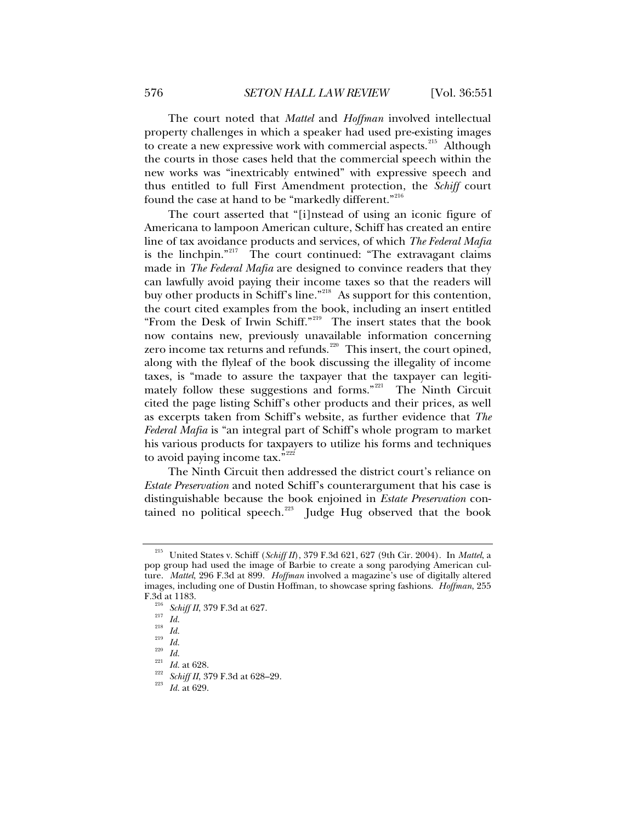The court noted that *Mattel* and *Hoffman* involved intellectual property challenges in which a speaker had used pre-existing images to create a new expressive work with commercial aspects.<sup>[215](#page-25-0)</sup> Although the courts in those cases held that the commercial speech within the new works was "inextricably entwined" with expressive speech and thus entitled to full First Amendment protection, the *Schiff* court found the case at hand to be "markedly different."<sup>[216](#page-25-1)</sup>

The court asserted that "[i]nstead of using an iconic figure of Americana to lampoon American culture, Schiff has created an entire line of tax avoidance products and services, of which *The Federal Mafia* is the linchpin."<sup>[217](#page-25-2)</sup> The court continued: "The extravagant claims made in *The Federal Mafia* are designed to convince readers that they can lawfully avoid paying their income taxes so that the readers will buy other products in Schiff's line."<sup>[218](#page-25-3)</sup> As support for this contention, the court cited examples from the book, including an insert entitled "From the Desk of Irwin Schiff."[219](#page-25-4) The insert states that the book now contains new, previously unavailable information concerning zero income tax returns and refunds.<sup>[220](#page-25-5)</sup> This insert, the court opined, along with the flyleaf of the book discussing the illegality of income taxes, is "made to assure the taxpayer that the taxpayer can legiti-mately follow these suggestions and forms."<sup>[221](#page-25-6)</sup> The Ninth Circuit cited the page listing Schiff's other products and their prices, as well as excerpts taken from Schiff's website, as further evidence that *The Federal Mafia* is "an integral part of Schiff's whole program to market his various products for taxpayers to utilize his forms and techniques to avoid paying income tax. $e^{nz22}$ 

The Ninth Circuit then addressed the district court's reliance on *Estate Preservation* and noted Schiff's counterargument that his case is distinguishable because the book enjoined in *Estate Preservation* contained no political speech. $223$  Judge Hug observed that the book

<span id="page-25-0"></span><sup>215</sup> United States v. Schiff (*Schiff II*), 379 F.3d 621, 627 (9th Cir. 2004). In *Mattel*, a pop group had used the image of Barbie to create a song parodying American culture. *Mattel*, 296 F.3d at 899. *Hoffman* involved a magazine's use of digitally altered images, including one of Dustin Hoffman, to showcase spring fashions. *Hoffman*, 255

<span id="page-25-8"></span><span id="page-25-7"></span><span id="page-25-6"></span><span id="page-25-5"></span>

<span id="page-25-4"></span><span id="page-25-3"></span><span id="page-25-2"></span><span id="page-25-1"></span>F.3d at 1183.<br><sup>216</sup> Schiff II, 379 F.3d at 627.<br><sup>217</sup> Id.<br><sup>218</sup> Id.<br><sup>221</sup> Id. at 628.<br><sup>221</sup> Id. at 628.<br><sup>222</sup> Schiff II, 379 F.3d at 628–29.<br><sup>223</sup> Id. at 629.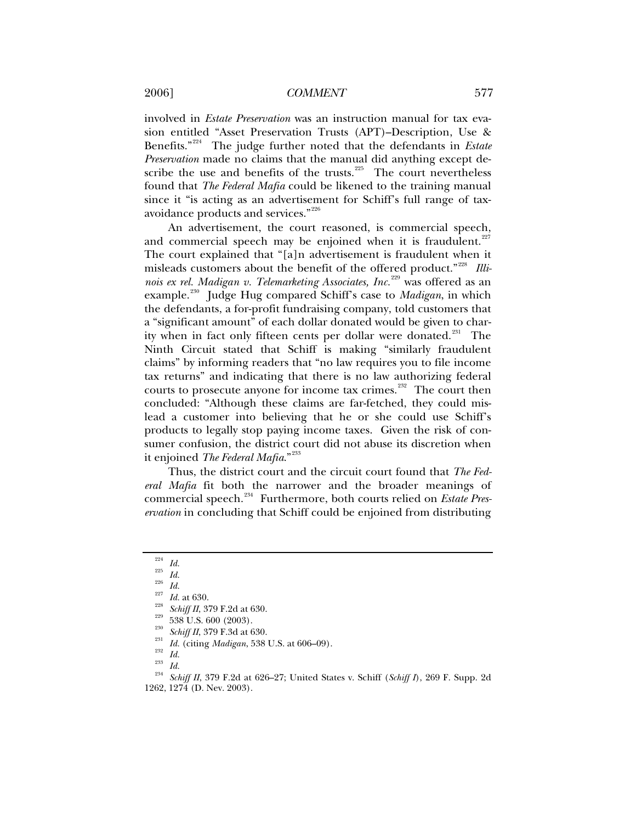involved in *Estate Preservation* was an instruction manual for tax evasion entitled "Asset Preservation Trusts (APT)–Description, Use & Benefits."[224](#page-26-0) The judge further noted that the defendants in *Estate Preservation* made no claims that the manual did anything except de-scribe the use and benefits of the trusts.<sup>[225](#page-26-1)</sup> The court nevertheless found that *The Federal Mafia* could be likened to the training manual since it "is acting as an advertisement for Schiff's full range of taxavoidance products and services."[226](#page-26-2)

An advertisement, the court reasoned, is commercial speech, and commercial speech may be enjoined when it is fraudulent. $227$ The court explained that "[a]n advertisement is fraudulent when it misleads customers about the benefit of the offered product."[228](#page-26-4) *Illinois ex rel. Madigan v. Telemarketing Associates, Inc.*[229](#page-26-5) was offered as an example.<sup>[230](#page-26-6)</sup> Judge Hug compared Schiff's case to *Madigan*, in which the defendants, a for-profit fundraising company, told customers that a "significant amount" of each dollar donated would be given to char-ity when in fact only fifteen cents per dollar were donated.<sup>[231](#page-26-7)</sup> The Ninth Circuit stated that Schiff is making "similarly fraudulent claims" by informing readers that "no law requires you to file income tax returns" and indicating that there is no law authorizing federal courts to prosecute anyone for income tax crimes.<sup> $^{232}$  $^{232}$  $^{232}$ </sup> The court then concluded: "Although these claims are far-fetched, they could mislead a customer into believing that he or she could use Schiff's products to legally stop paying income taxes. Given the risk of consumer confusion, the district court did not abuse its discretion when it enjoined *The Federal Mafia*."[233](#page-26-9)

Thus, the district court and the circuit court found that *The Federal Mafia* fit both the narrower and the broader meanings of commercial speech.[234](#page-26-10) Furthermore, both courts relied on *Estate Preservation* in concluding that Schiff could be enjoined from distributing

<span id="page-26-5"></span>

<span id="page-26-8"></span><span id="page-26-7"></span><span id="page-26-6"></span>

<span id="page-26-9"></span>

<span id="page-26-10"></span>

<span id="page-26-4"></span><span id="page-26-3"></span><span id="page-26-2"></span><span id="page-26-1"></span><span id="page-26-0"></span><sup>&</sup>lt;sup>224</sup> Id.<br><sup>225</sup> Id.<br><sup>225</sup> Id. at 630.<br><sup>226</sup> Id. at 630.<br><sup>226</sup> Schiff II, 379 F.2d at 630.<br><sup>229</sup> Schiff II, 379 F.3d at 630.<br><sup>231</sup> Id. (citing Madigan, 538 U.S. at 606–09).<br><sup>231</sup> Id.<br><sup>234</sup> Schiff II, 379 F.2d at 626–27; Uni 1262, 1274 (D. Nev. 2003).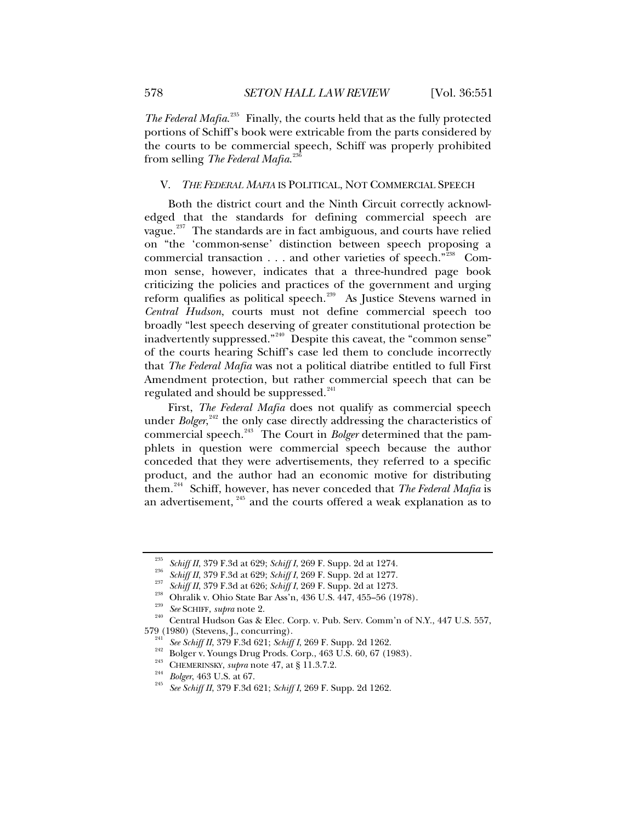The Federal Mafia.<sup>[235](#page-27-0)</sup> Finally, the courts held that as the fully protected portions of Schiff's book were extricable from the parts considered by the courts to be commercial speech, Schiff was properly prohibited from selling *The Federal Mafia*. [236](#page-27-1)

## V. *THE FEDERAL MAFIA* IS POLITICAL, NOT COMMERCIAL SPEECH

Both the district court and the Ninth Circuit correctly acknowledged that the standards for defining commercial speech are vague. $237$  The standards are in fact ambiguous, and courts have relied on "the 'common-sense' distinction between speech proposing a commercial transaction . . . and other varieties of speech."[238](#page-27-3) Common sense, however, indicates that a three-hundred page book criticizing the policies and practices of the government and urging reform qualifies as political speech.<sup>[239](#page-27-4)</sup> As Justice Stevens warned in *Central Hudson*, courts must not define commercial speech too broadly "lest speech deserving of greater constitutional protection be inadvertently suppressed."<sup>[240](#page-27-5)</sup> Despite this caveat, the "common sense" of the courts hearing Schiff's case led them to conclude incorrectly that *The Federal Mafia* was not a political diatribe entitled to full First Amendment protection, but rather commercial speech that can be regulated and should be suppressed.<sup>[241](#page-27-6)</sup>

First, *The Federal Mafia* does not qualify as commercial speech under *Bolger*,<sup>[242](#page-27-7)</sup> the only case directly addressing the characteristics of commercial speech.[243](#page-27-8) The Court in *Bolger* determined that the pamphlets in question were commercial speech because the author conceded that they were advertisements, they referred to a specific product, and the author had an economic motive for distributing them.[244](#page-27-9) Schiff, however, has never conceded that *The Federal Mafia* is an advertisement,<sup>[245](#page-27-10)</sup> and the courts offered a weak explanation as to

<span id="page-27-5"></span>

<span id="page-27-4"></span><span id="page-27-3"></span><span id="page-27-2"></span><span id="page-27-1"></span><span id="page-27-0"></span><sup>&</sup>lt;sup>235</sup> Schiff II, 379 F.3d at 629; Schiff I, 269 F. Supp. 2d at 1274.<br>
<sup>236</sup> Schiff II, 379 F.3d at 629; Schiff I, 269 F. Supp. 2d at 1277.<br>
<sup>237</sup> Schiff II, 379 F.3d at 626; Schiff I, 269 F. Supp. 2d at 1273.<br>
<sup>238</sup> Ohral

<span id="page-27-7"></span><span id="page-27-6"></span><sup>&</sup>lt;sup>241</sup> See Schiff II, 379 F.3d 621; Schiff I, 269 F. Supp. 2d 1262.<br>
Bolger v. Youngs Drug Prods. Corp., 463 U.S. 60, 67 (1983).<br>
<sup>243</sup> CHEMERINSKY, *supra* note 47, at § 11.3.7.2.<br>
<sup>244</sup> Bolger, 463 U.S. at 67.<br> *See Schi* 

<span id="page-27-10"></span><span id="page-27-9"></span><span id="page-27-8"></span>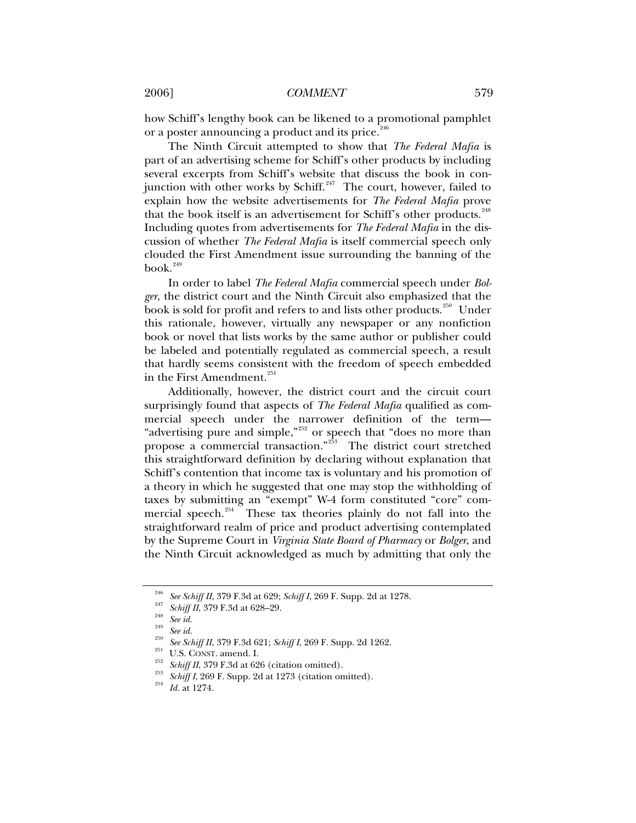how Schiff's lengthy book can be likened to a promotional pamphlet or a poster announcing a product and its price.<sup>[246](#page-28-0)</sup>

The Ninth Circuit attempted to show that *The Federal Mafia* is part of an advertising scheme for Schiff's other products by including several excerpts from Schiff's website that discuss the book in conjunction with other works by Schiff. $247$  The court, however, failed to explain how the website advertisements for *The Federal Mafia* prove that the book itself is an advertisement for Schiff's other products.<sup>[248](#page-28-2)</sup> Including quotes from advertisements for *The Federal Mafia* in the discussion of whether *The Federal Mafia* is itself commercial speech only clouded the First Amendment issue surrounding the banning of the  $book.<sup>249</sup>$  $book.<sup>249</sup>$  $book.<sup>249</sup>$ 

In order to label *The Federal Mafia* commercial speech under *Bolger*, the district court and the Ninth Circuit also emphasized that the book is sold for profit and refers to and lists other products.<sup>[250](#page-28-4)</sup> Under this rationale, however, virtually any newspaper or any nonfiction book or novel that lists works by the same author or publisher could be labeled and potentially regulated as commercial speech, a result that hardly seems consistent with the freedom of speech embedded in the First Amendment.<sup>[251](#page-28-5)</sup>

Additionally, however, the district court and the circuit court surprisingly found that aspects of *The Federal Mafia* qualified as commercial speech under the narrower definition of the term— "advertising pure and simple,"<sup>[252](#page-28-6)</sup> or speech that "does no more than propose a commercial transaction."<sup>[253](#page-28-7)</sup> The district court stretched this straightforward definition by declaring without explanation that Schiff's contention that income tax is voluntary and his promotion of a theory in which he suggested that one may stop the withholding of taxes by submitting an "exempt" W-4 form constituted "core" commercial speech. $254$  These tax theories plainly do not fall into the straightforward realm of price and product advertising contemplated by the Supreme Court in *Virginia State Board of Pharmacy* or *Bolger*, and the Ninth Circuit acknowledged as much by admitting that only the

<span id="page-28-0"></span><sup>&</sup>lt;sup>246</sup> See Schiff II, 379 F.3d at 629; Schiff I, 269 F. Supp. 2d at 1278.<br><sup>247</sup> Schiff II, 379 F.3d at 628–29.<br><sup>248</sup> See id.<br><sup>249</sup> See id.<br><sup>249</sup> See id.<br><sup>259</sup> See Schiff II, 379 F.3d 621; Schiff I, 269 F. Supp. 2d 1262.<br><sup>25</sup>

<span id="page-28-1"></span>

<span id="page-28-2"></span>

<span id="page-28-4"></span><span id="page-28-3"></span>

<span id="page-28-6"></span><span id="page-28-5"></span>

<span id="page-28-8"></span><span id="page-28-7"></span>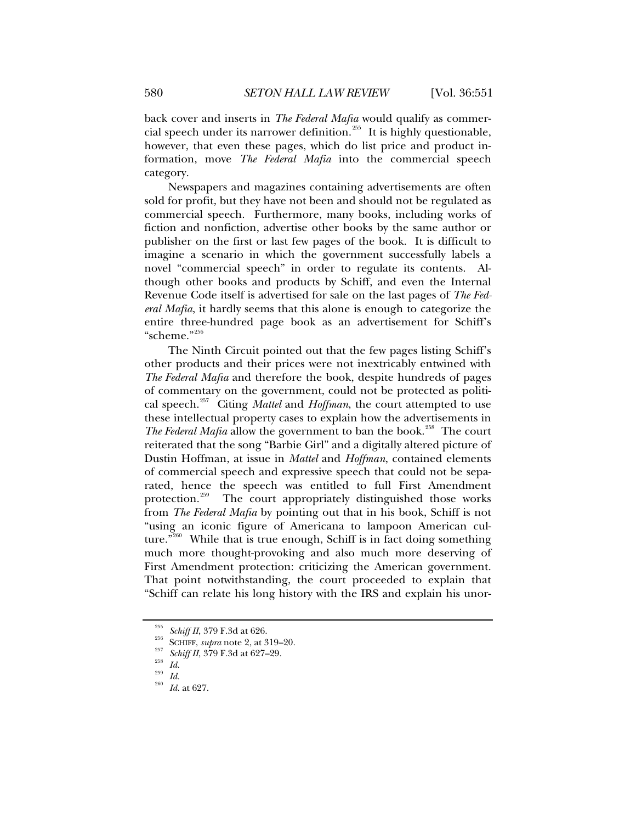back cover and inserts in *The Federal Mafia* would qualify as commer-cial speech under its narrower definition.<sup>[255](#page-29-0)</sup> It is highly questionable, however, that even these pages, which do list price and product information, move *The Federal Mafia* into the commercial speech category.

Newspapers and magazines containing advertisements are often sold for profit, but they have not been and should not be regulated as commercial speech. Furthermore, many books, including works of fiction and nonfiction, advertise other books by the same author or publisher on the first or last few pages of the book. It is difficult to imagine a scenario in which the government successfully labels a novel "commercial speech" in order to regulate its contents. Although other books and products by Schiff, and even the Internal Revenue Code itself is advertised for sale on the last pages of *The Federal Mafia*, it hardly seems that this alone is enough to categorize the entire three-hundred page book as an advertisement for Schiff's "scheme."[256](#page-29-1)

The Ninth Circuit pointed out that the few pages listing Schiff's other products and their prices were not inextricably entwined with *The Federal Mafia* and therefore the book, despite hundreds of pages of commentary on the government, could not be protected as political speech.[257](#page-29-2) Citing *Mattel* and *Hoffman*, the court attempted to use these intellectual property cases to explain how the advertisements in *The Federal Mafia* allow the government to ban the book.<sup>[258](#page-29-3)</sup> The court reiterated that the song "Barbie Girl" and a digitally altered picture of Dustin Hoffman, at issue in *Mattel* and *Hoffman*, contained elements of commercial speech and expressive speech that could not be separated, hence the speech was entitled to full First Amendment protection.<sup>259</sup> The court appropriately distinguished those works The court appropriately distinguished those works from *The Federal Mafia* by pointing out that in his book, Schiff is not "using an iconic figure of Americana to lampoon American cul-ture."<sup>[260](#page-29-5)</sup> While that is true enough, Schiff is in fact doing something much more thought-provoking and also much more deserving of First Amendment protection: criticizing the American government. That point notwithstanding, the court proceeded to explain that "Schiff can relate his long history with the IRS and explain his unor-

<span id="page-29-1"></span><span id="page-29-0"></span><sup>&</sup>lt;sup>255</sup> Schiff II, 379 F.3d at 626.<br><sup>256</sup> SCHIFF, *supra* note 2, at 319–20.<br><sup>257</sup> Schiff II, 379 F.3d at 627–29.<br>*Id. Id.* 259 *Id.* at 627.

<span id="page-29-2"></span>

<span id="page-29-3"></span>

<span id="page-29-5"></span><span id="page-29-4"></span>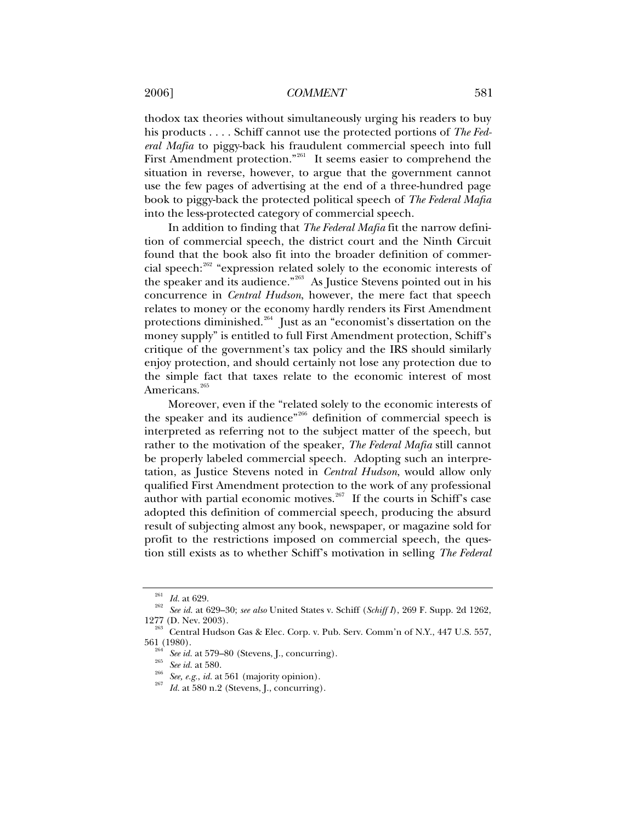## 2006] *COMMENT* 581

thodox tax theories without simultaneously urging his readers to buy his products . . . . Schiff cannot use the protected portions of *The Federal Mafia* to piggy-back his fraudulent commercial speech into full First Amendment protection."<sup>[261](#page-30-0)</sup> It seems easier to comprehend the situation in reverse, however, to argue that the government cannot use the few pages of advertising at the end of a three-hundred page book to piggy-back the protected political speech of *The Federal Mafia* into the less-protected category of commercial speech.

In addition to finding that *The Federal Mafia* fit the narrow definition of commercial speech, the district court and the Ninth Circuit found that the book also fit into the broader definition of commer-cial speech:<sup>[262](#page-30-1)</sup> "expression related solely to the economic interests of the speaker and its audience."[263](#page-30-2) As Justice Stevens pointed out in his concurrence in *Central Hudson*, however, the mere fact that speech relates to money or the economy hardly renders its First Amendment protections diminished.<sup>[264](#page-30-3)</sup> Just as an "economist's dissertation on the money supply" is entitled to full First Amendment protection, Schiff's critique of the government's tax policy and the IRS should similarly enjoy protection, and should certainly not lose any protection due to the simple fact that taxes relate to the economic interest of most Americans.<sup>[265](#page-30-4)</sup>

Moreover, even if the "related solely to the economic interests of the speaker and its audience<sup>"[266](#page-30-5)</sup> definition of commercial speech is interpreted as referring not to the subject matter of the speech, but rather to the motivation of the speaker, *The Federal Mafia* still cannot be properly labeled commercial speech. Adopting such an interpretation, as Justice Stevens noted in *Central Hudson*, would allow only qualified First Amendment protection to the work of any professional author with partial economic motives.<sup>[267](#page-30-6)</sup> If the courts in Schiff's case adopted this definition of commercial speech, producing the absurd result of subjecting almost any book, newspaper, or magazine sold for profit to the restrictions imposed on commercial speech, the question still exists as to whether Schiff's motivation in selling *The Federal* 

<span id="page-30-1"></span><span id="page-30-0"></span><sup>261</sup> *Id.* at 629. 262 *See id.* at 629–30; *see also* United States v. Schiff (*Schiff I*), 269 F. Supp. 2d 1262,

<span id="page-30-6"></span><span id="page-30-5"></span><span id="page-30-4"></span><span id="page-30-3"></span><span id="page-30-2"></span> $^{263}$  Central Hudson Gas & Elec. Corp. v. Pub. Serv. Comm'n of N.Y., 447 U.S. 557, 561 (1980).

<sup>&</sup>lt;sup>264</sup> See id. at 579–80 (Stevens, J., concurring).<br><sup>265</sup> See id. at 580.<br><sup>266</sup> See, e.g., *id.* at 561 (majority opinion).<br>*Id.* at 580 n.2 (Stevens, J., concurring).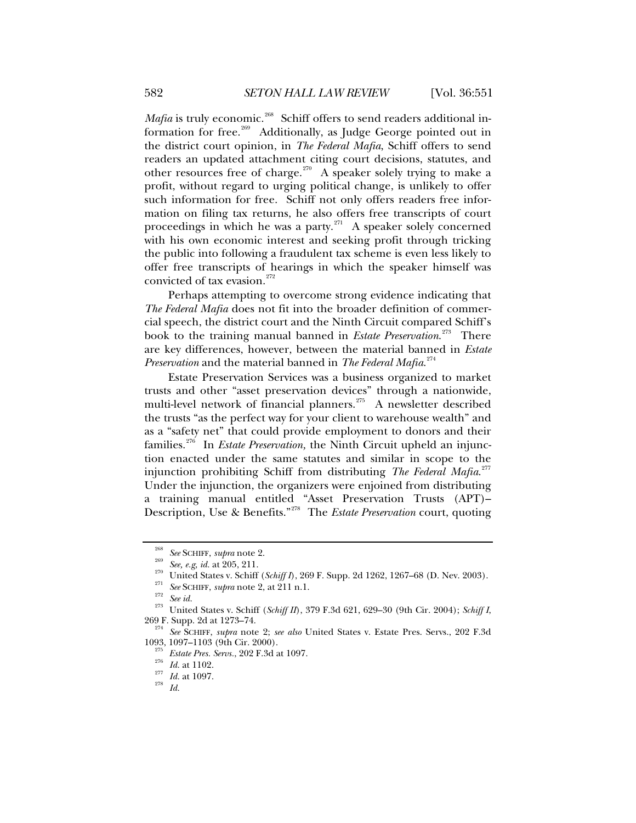*Mafia* is truly economic.<sup>[268](#page-31-0)</sup> Schiff offers to send readers additional information for free.[269](#page-31-1) Additionally, as Judge George pointed out in the district court opinion, in *The Federal Mafia*, Schiff offers to send readers an updated attachment citing court decisions, statutes, and other resources free of charge.<sup>[270](#page-31-2)</sup> A speaker solely trying to make a profit, without regard to urging political change, is unlikely to offer such information for free. Schiff not only offers readers free information on filing tax returns, he also offers free transcripts of court proceedings in which he was a party. $^{271}$  $^{271}$  $^{271}$  A speaker solely concerned with his own economic interest and seeking profit through tricking the public into following a fraudulent tax scheme is even less likely to offer free transcripts of hearings in which the speaker himself was convicted of tax evasion.<sup>[272](#page-31-4)</sup>

Perhaps attempting to overcome strong evidence indicating that *The Federal Mafia* does not fit into the broader definition of commercial speech, the district court and the Ninth Circuit compared Schiff's book to the training manual banned in *Estate Preservation*. [273](#page-31-5) There are key differences, however, between the material banned in *Estate Preservation* and the material banned in *The Federal Mafia*. [274](#page-31-6)

Estate Preservation Services was a business organized to market trusts and other "asset preservation devices" through a nationwide, multi-level network of financial planners.<sup>[275](#page-31-7)</sup> A newsletter described the trusts "as the perfect way for your client to warehouse wealth" and as a "safety net" that could provide employment to donors and their families.<sup>[276](#page-31-8)</sup> In *Estate Preservation*, the Ninth Circuit upheld an injunction enacted under the same statutes and similar in scope to the injunction prohibiting Schiff from distributing *The Federal Mafia*. [277](#page-31-9) Under the injunction, the organizers were enjoined from distributing a training manual entitled "Asset Preservation Trusts (APT)– Description, Use & Benefits."[278](#page-31-10) The *Estate Preservation* court, quoting

<span id="page-31-3"></span><span id="page-31-2"></span><span id="page-31-1"></span><span id="page-31-0"></span><sup>&</sup>lt;sup>268</sup> See SCHIFF, supra note 2.<br>
<sup>269</sup> See, e.g, id. at 205, 211.<br>
United States v. Schiff (*Schiff I*), 269 F. Supp. 2d 1262, 1267–68 (D. Nev. 2003).<br>
<sup>271</sup> See SCHIFF, supra note 2, at 211 n.1.<br>
<sup>272</sup> See id.<br>
<sup>273</sup> Uni

<span id="page-31-10"></span><span id="page-31-9"></span><span id="page-31-8"></span><span id="page-31-7"></span><span id="page-31-6"></span><span id="page-31-5"></span><span id="page-31-4"></span><sup>&</sup>lt;sup>274</sup> See SCHIFF, *supra* note 2; *see also* United States v. Estate Pres. Servs., 202 F.3d 1093, 1097–1103 (9th Cir. 2000).

<sup>&</sup>lt;sup>275</sup> *Estate Pres. Servs.*, 202 F.3d at 1097.<br><sup>275</sup> *Id.* at 1102.<br><sup>277</sup> *Id.* at 1097.<br>*<sup>278</sup> Id.*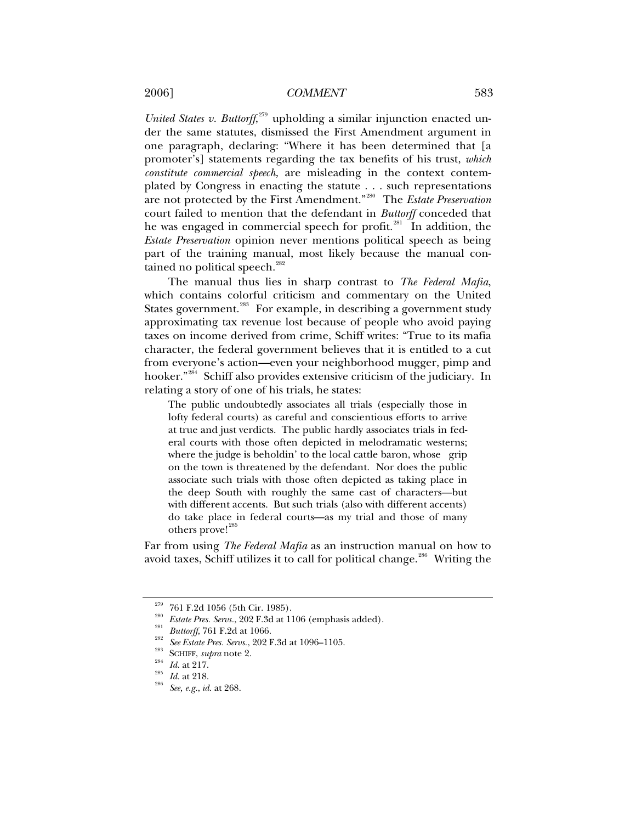United States v. Buttorff,<sup>[279](#page-32-0)</sup> upholding a similar injunction enacted under the same statutes, dismissed the First Amendment argument in one paragraph, declaring: "Where it has been determined that [a promoter's] statements regarding the tax benefits of his trust, *which constitute commercial speech*, are misleading in the context contemplated by Congress in enacting the statute . . . such representations are not protected by the First Amendment."[280](#page-32-1) The *Estate Preservation* court failed to mention that the defendant in *Buttorff* conceded that he was engaged in commercial speech for profit.<sup>[281](#page-32-2)</sup> In addition, the *Estate Preservation* opinion never mentions political speech as being part of the training manual, most likely because the manual con-tained no political speech.<sup>[282](#page-32-3)</sup>

The manual thus lies in sharp contrast to *The Federal Mafia*, which contains colorful criticism and commentary on the United States government.<sup>[283](#page-32-4)</sup> For example, in describing a government study approximating tax revenue lost because of people who avoid paying taxes on income derived from crime, Schiff writes: "True to its mafia character, the federal government believes that it is entitled to a cut from everyone's action—even your neighborhood mugger, pimp and hooker."<sup>[284](#page-32-5)</sup> Schiff also provides extensive criticism of the judiciary. In relating a story of one of his trials, he states:

The public undoubtedly associates all trials (especially those in lofty federal courts) as careful and conscientious efforts to arrive at true and just verdicts. The public hardly associates trials in federal courts with those often depicted in melodramatic westerns; where the judge is beholdin' to the local cattle baron, whose grip on the town is threatened by the defendant. Nor does the public associate such trials with those often depicted as taking place in the deep South with roughly the same cast of characters—but with different accents. But such trials (also with different accents) do take place in federal courts—as my trial and those of many others prove!<sup>[285](#page-32-6)</sup>

Far from using *The Federal Mafia* as an instruction manual on how to avoid taxes, Schiff utilizes it to call for political change.<sup>[286](#page-32-7)</sup> Writing the

<span id="page-32-1"></span><span id="page-32-0"></span><sup>&</sup>lt;sup>279</sup> 761 F.2d 1056 (5th Cir. 1985).<br><sup>280</sup> *Estate Pres. Servs.*, 202 F.3d at 1106 (emphasis added).<br><sup>281</sup> *Buttorff,* 761 F.2d at 1066.<br><sup>282</sup> *See Estate Pres. Servs.*, 202 F.3d at 1096–1105.<br><sup>283</sup> SCHIFF, *supra* note 2

<span id="page-32-2"></span>

<span id="page-32-4"></span><span id="page-32-3"></span>

<span id="page-32-5"></span>

<span id="page-32-7"></span><span id="page-32-6"></span>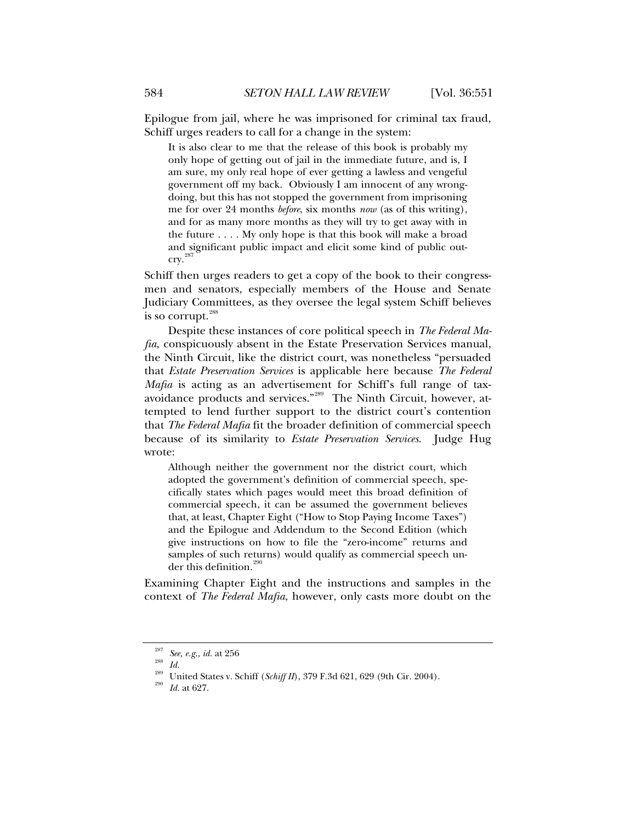Epilogue from jail, where he was imprisoned for criminal tax fraud, Schiff urges readers to call for a change in the system:

It is also clear to me that the release of this book is probably my only hope of getting out of jail in the immediate future, and is, I am sure, my only real hope of ever getting a lawless and vengeful government off my back. Obviously I am innocent of any wrongdoing, but this has not stopped the government from imprisoning me for over 24 months *before*, six months *now* (as of this writing), and for as many more months as they will try to get away with in the future . . . . My only hope is that this book will make a broad and significant public impact and elicit some kind of public out- $\text{cry.}^{287}$  $\text{cry.}^{287}$  $\text{cry.}^{287}$ 

Schiff then urges readers to get a copy of the book to their congressmen and senators, especially members of the House and Senate Judiciary Committees, as they oversee the legal system Schiff believes is so corrupt. $^{288}$  $^{288}$  $^{288}$ 

Despite these instances of core political speech in *The Federal Mafia*, conspicuously absent in the Estate Preservation Services manual, the Ninth Circuit, like the district court, was nonetheless "persuaded that *Estate Preservation Services* is applicable here because *The Federal Mafia* is acting as an advertisement for Schiff's full range of taxavoidance products and services."[289](#page-33-2) The Ninth Circuit, however, attempted to lend further support to the district court's contention that *The Federal Mafia* fit the broader definition of commercial speech because of its similarity to *Estate Preservation Services*. Judge Hug wrote:

Although neither the government nor the district court, which adopted the government's definition of commercial speech, specifically states which pages would meet this broad definition of commercial speech, it can be assumed the government believes that, at least, Chapter Eight ("How to Stop Paying Income Taxes") and the Epilogue and Addendum to the Second Edition (which give instructions on how to file the "zero-income" returns and samples of such returns) would qualify as commercial speech under this definition.<sup>29</sup>

Examining Chapter Eight and the instructions and samples in the context of *The Federal Mafia*, however, only casts more doubt on the

<span id="page-33-3"></span><span id="page-33-2"></span><span id="page-33-1"></span><span id="page-33-0"></span>

<sup>&</sup>lt;sup>287</sup> See, e.g., *id.* at 256<br><sup>288</sup> *Id.*<br><sup>289</sup> United States v. Schiff (*Schiff II*), 379 F.3d 621, 629 (9th Cir. 2004).<br><sup>290</sup> *Id.* at 627.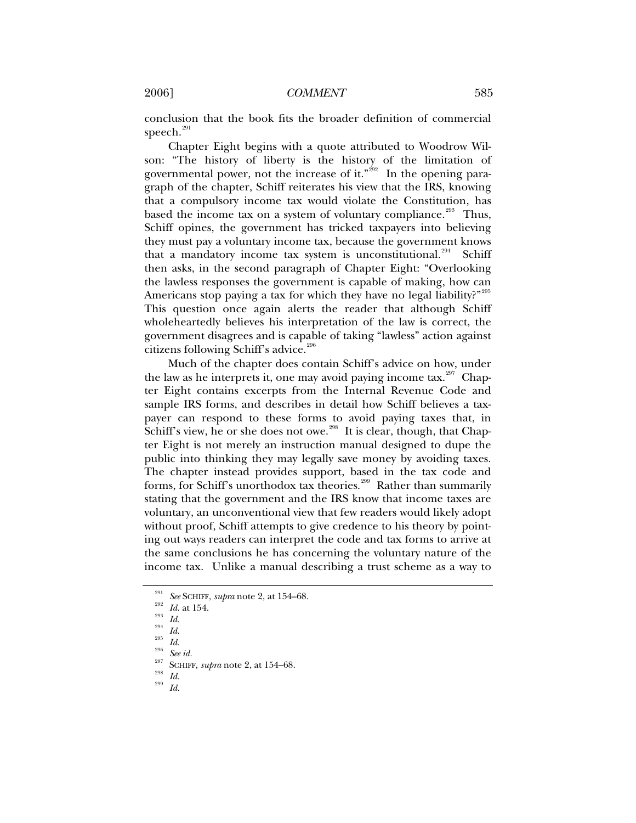conclusion that the book fits the broader definition of commercial speech. $^{291}$  $^{291}$  $^{291}$ 

Chapter Eight begins with a quote attributed to Woodrow Wilson: "The history of liberty is the history of the limitation of governmental power, not the increase of it." $^{992}$  In the opening paragraph of the chapter, Schiff reiterates his view that the IRS, knowing that a compulsory income tax would violate the Constitution, has based the income tax on a system of voluntary compliance.<sup>[293](#page-34-2)</sup> Thus, Schiff opines, the government has tricked taxpayers into believing they must pay a voluntary income tax, because the government knows that a mandatory income tax system is unconstitutional.<sup>[294](#page-34-3)</sup> Schiff then asks, in the second paragraph of Chapter Eight: "Overlooking the lawless responses the government is capable of making, how can Americans stop paying a tax for which they have no legal liability?"<sup>[295](#page-34-4)</sup> This question once again alerts the reader that although Schiff wholeheartedly believes his interpretation of the law is correct, the government disagrees and is capable of taking "lawless" action against citizens following Schiff's advice.<sup>26</sup>

Much of the chapter does contain Schiff's advice on how, under the law as he interprets it, one may avoid paying income tax.<sup>[297](#page-34-6)</sup> Chapter Eight contains excerpts from the Internal Revenue Code and sample IRS forms, and describes in detail how Schiff believes a taxpayer can respond to these forms to avoid paying taxes that, in Schiff's view, he or she does not owe.<sup>[298](#page-34-7)</sup> It is clear, though, that Chapter Eight is not merely an instruction manual designed to dupe the public into thinking they may legally save money by avoiding taxes. The chapter instead provides support, based in the tax code and forms, for Schiff's unorthodox tax theories.<sup>[299](#page-34-8)</sup> Rather than summarily stating that the government and the IRS know that income taxes are voluntary, an unconventional view that few readers would likely adopt without proof, Schiff attempts to give credence to his theory by pointing out ways readers can interpret the code and tax forms to arrive at the same conclusions he has concerning the voluntary nature of the income tax. Unlike a manual describing a trust scheme as a way to

<span id="page-34-8"></span><span id="page-34-7"></span><span id="page-34-6"></span><span id="page-34-5"></span>

- 
- 

<span id="page-34-1"></span><span id="page-34-0"></span><sup>&</sup>lt;sup>291</sup> See SCHIFF, *supra* note 2, at 154–68.<br><sup>292</sup> Id. at 154.<br><sup>293</sup> Id.<br><sup>294</sup> Id.<br><sup>295</sup> ScHIFF, *supra* note 2, at 154–68.<br><sup>298</sup> Id.<br>Id. 299 Id.

<span id="page-34-4"></span><span id="page-34-3"></span><span id="page-34-2"></span>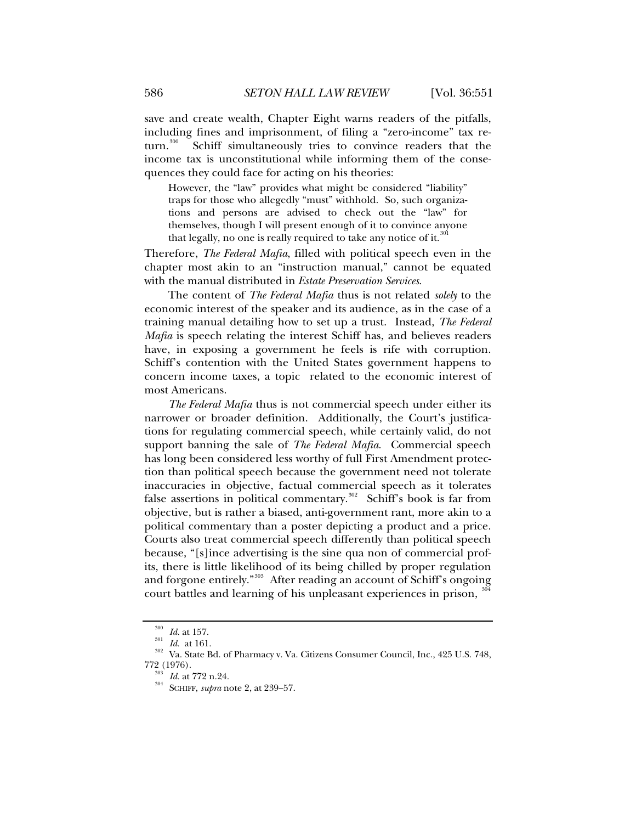save and create wealth, Chapter Eight warns readers of the pitfalls, including fines and imprisonment, of filing a "zero-income" tax re-<br>turn.<sup>300</sup> Schiff simultaneously tries to convince readers that the Schiff simultaneously tries to convince readers that the income tax is unconstitutional while informing them of the consequences they could face for acting on his theories:

However, the "law" provides what might be considered "liability" traps for those who allegedly "must" withhold. So, such organizations and persons are advised to check out the "law" for themselves, though I will present enough of it to convince anyone that legally, no one is really required to take any notice of it.<sup>[301](#page-35-1)</sup>

Therefore, *The Federal Mafia*, filled with political speech even in the chapter most akin to an "instruction manual," cannot be equated with the manual distributed in *Estate Preservation Services*.

The content of *The Federal Mafia* thus is not related *solely* to the economic interest of the speaker and its audience, as in the case of a training manual detailing how to set up a trust. Instead, *The Federal Mafia* is speech relating the interest Schiff has, and believes readers have, in exposing a government he feels is rife with corruption. Schiff's contention with the United States government happens to concern income taxes, a topic related to the economic interest of most Americans.

*The Federal Mafia* thus is not commercial speech under either its narrower or broader definition. Additionally, the Court's justifications for regulating commercial speech, while certainly valid, do not support banning the sale of *The Federal Mafia*. Commercial speech has long been considered less worthy of full First Amendment protection than political speech because the government need not tolerate inaccuracies in objective, factual commercial speech as it tolerates false assertions in political commentary.<sup>[302](#page-35-2)</sup> Schiff's book is far from objective, but is rather a biased, anti-government rant, more akin to a political commentary than a poster depicting a product and a price. Courts also treat commercial speech differently than political speech because, "[s]ince advertising is the sine qua non of commercial profits, there is little likelihood of its being chilled by proper regulation and forgone entirely."[303](#page-35-3) After reading an account of Schiff's ongoing court battles and learning of his unpleasant experiences in prison, <sup>34</sup>

<span id="page-35-3"></span><span id="page-35-2"></span><span id="page-35-1"></span><span id="page-35-0"></span><sup>&</sup>lt;sup>300</sup> *Id.* at 157.<br><sup>301</sup> *Id.* at 161.<br><sup>302</sup> Va. State Bd. of Pharmacy v. Va. Citizens Consumer Council, Inc., 425 U.S. 748,<br>772 (1976).

<span id="page-35-4"></span><sup>&</sup>lt;sup>303</sup> *Id.* at 772 n.24.<br><sup>304</sup> SCHIFF, *supra* note 2, at 239–57.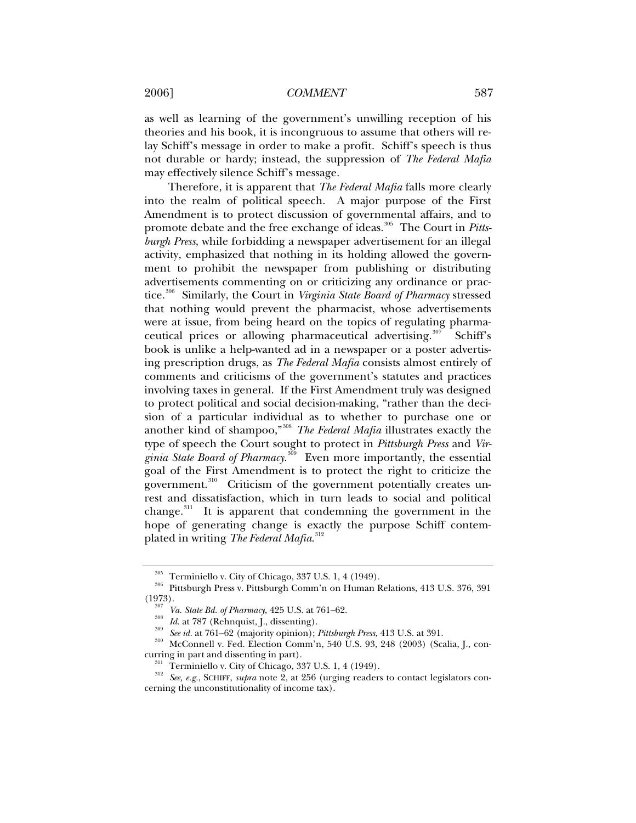2006] *COMMENT* 587

as well as learning of the government's unwilling reception of his theories and his book, it is incongruous to assume that others will relay Schiff's message in order to make a profit. Schiff's speech is thus not durable or hardy; instead, the suppression of *The Federal Mafia* may effectively silence Schiff's message.

Therefore, it is apparent that *The Federal Mafia* falls more clearly into the realm of political speech. A major purpose of the First Amendment is to protect discussion of governmental affairs, and to promote debate and the free exchange of ideas.<sup>[305](#page-36-0)</sup> The Court in *Pittsburgh Press*, while forbidding a newspaper advertisement for an illegal activity, emphasized that nothing in its holding allowed the government to prohibit the newspaper from publishing or distributing advertisements commenting on or criticizing any ordinance or practice.[306](#page-36-1) Similarly, the Court in *Virginia State Board of Pharmacy* stressed that nothing would prevent the pharmacist, whose advertisements were at issue, from being heard on the topics of regulating pharma-ceutical prices or allowing pharmaceutical advertising.<sup>[307](#page-36-2)</sup> Schiff's book is unlike a help-wanted ad in a newspaper or a poster advertising prescription drugs, as *The Federal Mafia* consists almost entirely of comments and criticisms of the government's statutes and practices involving taxes in general. If the First Amendment truly was designed to protect political and social decision-making, "rather than the decision of a particular individual as to whether to purchase one or another kind of shampoo,"[308](#page-36-3) *The Federal Mafia* illustrates exactly the type of speech the Court sought to protect in *Pittsburgh Press* and *Virginia State Board of Pharmacy*. [309](#page-36-4) Even more importantly, the essential goal of the First Amendment is to protect the right to criticize the government.<sup>[310](#page-36-5)</sup> Criticism of the government potentially creates unrest and dissatisfaction, which in turn leads to social and political change.<sup>[311](#page-36-6)</sup> It is apparent that condemning the government in the hope of generating change is exactly the purpose Schiff contemplated in writing *The Federal Mafia*. [312](#page-36-7)

<span id="page-36-2"></span><span id="page-36-1"></span><span id="page-36-0"></span><sup>&</sup>lt;sup>305</sup> Terminiello v. City of Chicago, 337 U.S. 1, 4 (1949).<br><sup>306</sup> Pittsburgh Press v. Pittsburgh Comm'n on Human Relations, 413 U.S. 376, 391<br>(1973).

<sup>&</sup>lt;sup>307</sup> Va. State Bd. of Pharmacy, 425 U.S. at 761–62.<br><sup>308</sup> Id. at 787 (Rehnquist, J., dissenting).<br><sup>309</sup> See id. at 761–62 (majority opinion); Pittsburgh Press, 413 U.S. at 391.<br><sup>310</sup> McConnell v. Fed. Election Comm'n, 54

<span id="page-36-5"></span><span id="page-36-4"></span><span id="page-36-3"></span>curring in part and dissenting in part).<br><sup>311</sup> Terminiello v. City of Chicago, 337 U.S. 1, 4 (1949).<br><sup>312</sup> *See, e.g.*, SCHIFF, *supra* note 2, at 256 (urging readers to contact legislators con-

<span id="page-36-7"></span><span id="page-36-6"></span>cerning the unconstitutionality of income tax).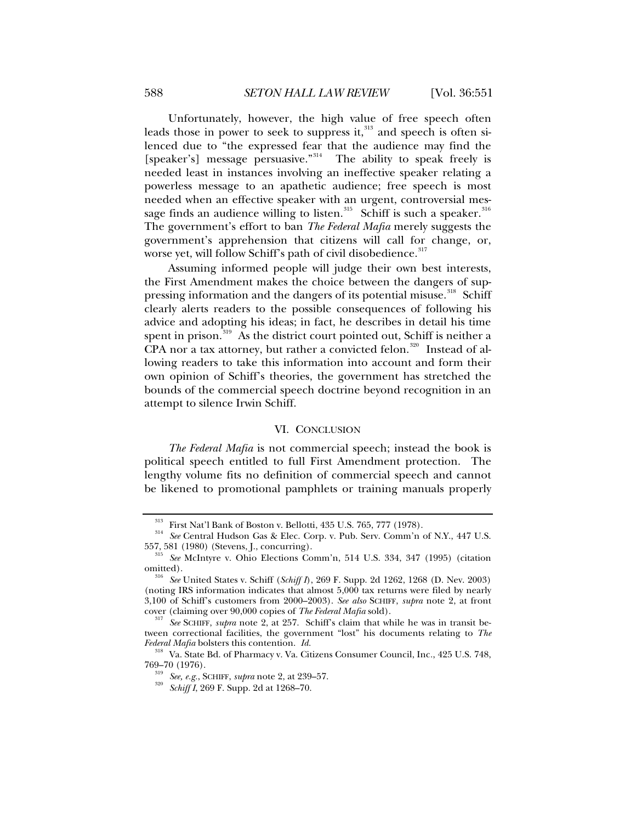Unfortunately, however, the high value of free speech often leads those in power to seek to suppress it,  $313$  and speech is often silenced due to "the expressed fear that the audience may find the [speaker's] message persuasive."<sup>[314](#page-37-1)</sup> The ability to speak freely is needed least in instances involving an ineffective speaker relating a powerless message to an apathetic audience; free speech is most needed when an effective speaker with an urgent, controversial message finds an audience willing to listen. $^{315}$  $^{315}$  $^{315}$  Schiff is such a speaker. $^{316}$  $^{316}$  $^{316}$ The government's effort to ban *The Federal Mafia* merely suggests the government's apprehension that citizens will call for change, or, worse yet, will follow Schiff's path of civil disobedience.<sup>[317](#page-37-4)</sup>

Assuming informed people will judge their own best interests, the First Amendment makes the choice between the dangers of sup-pressing information and the dangers of its potential misuse.<sup>[318](#page-37-5)</sup> Schiff clearly alerts readers to the possible consequences of following his advice and adopting his ideas; in fact, he describes in detail his time spent in prison. $319$  As the district court pointed out, Schiff is neither a CPA nor a tax attorney, but rather a convicted felon.<sup>[320](#page-37-7)</sup> Instead of allowing readers to take this information into account and form their own opinion of Schiff's theories, the government has stretched the bounds of the commercial speech doctrine beyond recognition in an attempt to silence Irwin Schiff.

#### VI. CONCLUSION

*The Federal Mafia* is not commercial speech; instead the book is political speech entitled to full First Amendment protection. The lengthy volume fits no definition of commercial speech and cannot be likened to promotional pamphlets or training manuals properly

<span id="page-37-1"></span><span id="page-37-0"></span><sup>&</sup>lt;sup>313</sup> First Nat'l Bank of Boston v. Bellotti, 435 U.S. 765, 777 (1978).<br><sup>314</sup> *See* Central Hudson Gas & Elec. Corp. v. Pub. Serv. Comm'n of N.Y., 447 U.S.<br>557, 581 (1980) (Stevens, J., concurring).

<span id="page-37-2"></span><sup>&</sup>lt;sup>315</sup> See McIntyre v. Ohio Elections Comm'n, 514 U.S. 334, 347 (1995) (citation omitted).

<span id="page-37-3"></span>See United States v. Schiff (*Schiff I*), 269 F. Supp. 2d 1262, 1268 (D. Nev. 2003) (noting IRS information indicates that almost 5,000 tax returns were filed by nearly 3,100 of Schiff's customers from 2000–2003). *See also* SCHIFF, *supra* note 2, at front

<span id="page-37-4"></span><sup>&</sup>lt;sup>317</sup> See SCHIFF, *supra* note 2, at 257. Schiff's claim that while he was in transit between correctional facilities, the government "lost" his documents relating to *The* 

<span id="page-37-7"></span><span id="page-37-6"></span><span id="page-37-5"></span>*Federal Mafia* bolsters this contention. *Id.* <sup>318</sup> Va. State Bd. of Pharmacy v. Va. Citizens Consumer Council, Inc., 425 U.S. 748, 769–70 (1976).

<sup>769–70 (1976). 319</sup> *See, e.g.*, SCHIFF, *supra* note 2, at 239–57. 320 *Schiff I*, 269 F. Supp. 2d at 1268–70.